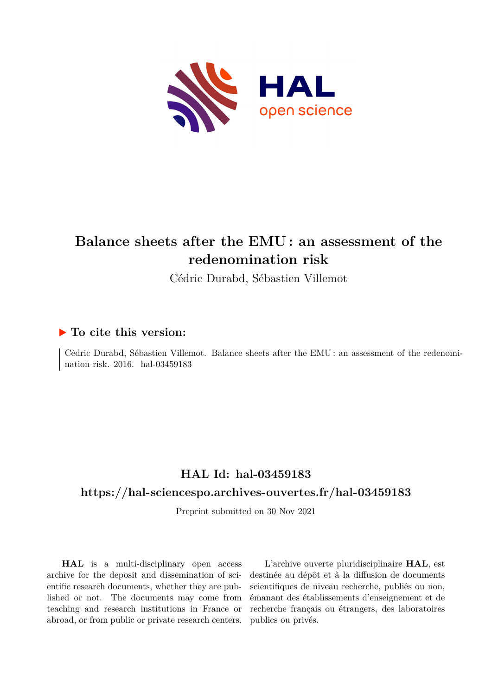

## **Balance sheets after the EMU : an assessment of the redenomination risk**

Cédric Durabd, Sébastien Villemot

#### **To cite this version:**

Cédric Durabd, Sébastien Villemot. Balance sheets after the EMU : an assessment of the redenomination risk. 2016. hal-03459183

## **HAL Id: hal-03459183**

#### **<https://hal-sciencespo.archives-ouvertes.fr/hal-03459183>**

Preprint submitted on 30 Nov 2021

**HAL** is a multi-disciplinary open access archive for the deposit and dissemination of scientific research documents, whether they are published or not. The documents may come from teaching and research institutions in France or abroad, or from public or private research centers.

L'archive ouverte pluridisciplinaire **HAL**, est destinée au dépôt et à la diffusion de documents scientifiques de niveau recherche, publiés ou non, émanant des établissements d'enseignement et de recherche français ou étrangers, des laboratoires publics ou privés.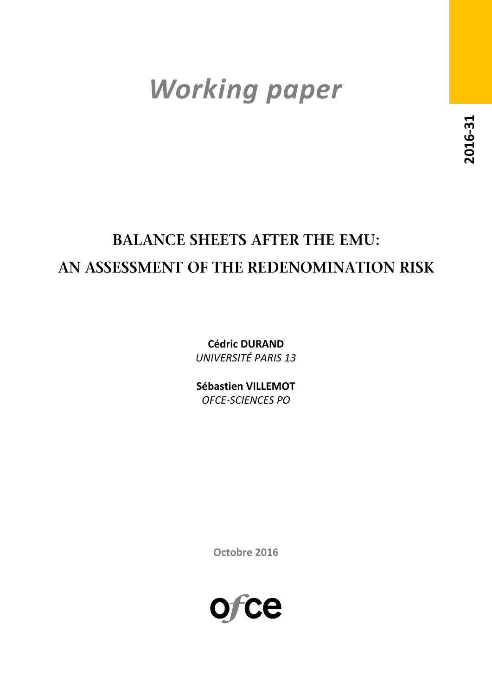# *Working paper*

## **BALANCE SHEETS AFTER THE EMU:** AN ASSESSMENT OF THE REDENOMINATION RISK

**Cédric DURAND** *UNIVERSITÉ PARIS 13*

**Sébastien VILLEMOT** *OFCE-SCIENCES PO*

**Octobre 2016**

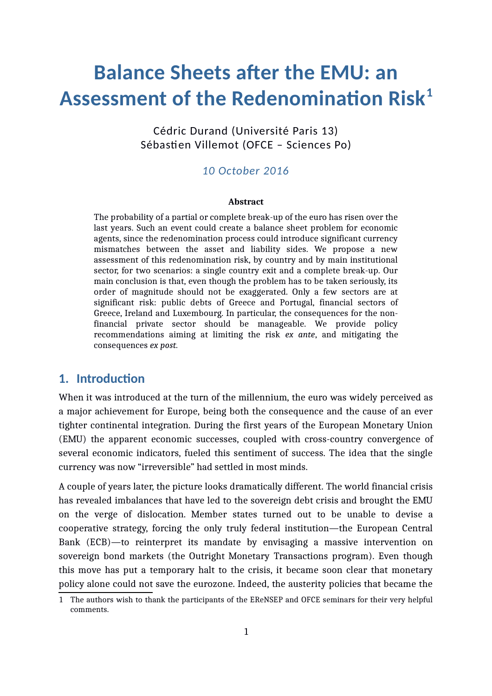## **Balance Sheets after the EMU: an Assessment of the Redenomination Risk[1](#page-2-0)**

Cédric Durand (Université Paris 13) Sébastien Villemot (OFCE – Sciences Po)

#### *10 October 2016*

#### **Abstract**

The probability of a partial or complete break-up of the euro has risen over the last years. Such an event could create a balance sheet problem for economic agents, since the redenomination process could introduce significant currency mismatches between the asset and liability sides. We propose a new assessment of this redenomination risk, by country and by main institutional sector, for two scenarios: a single country exit and a complete break-up. Our main conclusion is that, even though the problem has to be taken seriously, its order of magnitude should not be exaggerated. Only a few sectors are at significant risk: public debts of Greece and Portugal, financial sectors of Greece, Ireland and Luxembourg. In particular, the consequences for the nonfinancial private sector should be manageable. We provide policy recommendations aiming at limiting the risk *ex ante*, and mitigating the consequences *ex post.*

#### **1. Introduction**

When it was introduced at the turn of the millennium, the euro was widely perceived as a major achievement for Europe, being both the consequence and the cause of an ever tighter continental integration. During the first years of the European Monetary Union (EMU) the apparent economic successes, coupled with cross-country convergence of several economic indicators, fueled this sentiment of success. The idea that the single currency was now "irreversible" had settled in most minds.

A couple of years later, the picture looks dramatically different. The world financial crisis has revealed imbalances that have led to the sovereign debt crisis and brought the EMU on the verge of dislocation. Member states turned out to be unable to devise a cooperative strategy, forcing the only truly federal institution—the European Central Bank (ECB)—to reinterpret its mandate by envisaging a massive intervention on sovereign bond markets (the Outright Monetary Transactions program). Even though this move has put a temporary halt to the crisis, it became soon clear that monetary policy alone could not save the eurozone. Indeed, the austerity policies that became the

<span id="page-2-0"></span><sup>1</sup> The authors wish to thank the participants of the EReNSEP and OFCE seminars for their very helpful comments.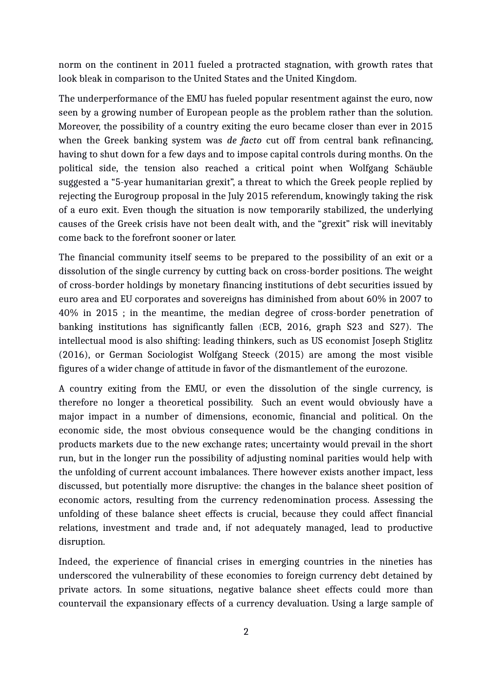norm on the continent in 2011 fueled a protracted stagnation, with growth rates that look bleak in comparison to the United States and the United Kingdom.

The underperformance of the EMU has fueled popular resentment against the euro, now seen by a growing number of European people as the problem rather than the solution. Moreover, the possibility of a country exiting the euro became closer than ever in 2015 when the Greek banking system was *de facto* cut off from central bank refinancing, having to shut down for a few days and to impose capital controls during months. On the political side, the tension also reached a critical point when Wolfgang Schäuble suggested a "5-year humanitarian grexit", a threat to which the Greek people replied by rejecting the Eurogroup proposal in the July 2015 referendum, knowingly taking the risk of a euro exit. Even though the situation is now temporarily stabilized, the underlying causes of the Greek crisis have not been dealt with, and the "grexit" risk will inevitably come back to the forefront sooner or later.

The financial community itself seems to be prepared to the possibility of an exit or a dissolution of the single currency by cutting back on cross-border positions. The weight of cross-border holdings by monetary financing institutions of debt securities issued by euro area and EU corporates and sovereigns has diminished from about 60% in 2007 to 40% in 2015 ; in the meantime, the median degree of cross-border penetration of banking institutions has significantly fallen (ECB, 2016, graph S23 and S27). The intellectual mood is also shifting: leading thinkers, such as US economist Joseph Stiglitz (2016), or German Sociologist Wolfgang Steeck (2015) are among the most visible figures of a wider change of attitude in favor of the dismantlement of the eurozone.

A country exiting from the EMU, or even the dissolution of the single currency, is therefore no longer a theoretical possibility. Such an event would obviously have a major impact in a number of dimensions, economic, financial and political. On the economic side, the most obvious consequence would be the changing conditions in products markets due to the new exchange rates; uncertainty would prevail in the short run, but in the longer run the possibility of adjusting nominal parities would help with the unfolding of current account imbalances. There however exists another impact, less discussed, but potentially more disruptive: the changes in the balance sheet position of economic actors, resulting from the currency redenomination process. Assessing the unfolding of these balance sheet effects is crucial, because they could affect financial relations, investment and trade and, if not adequately managed, lead to productive disruption.

Indeed, the experience of financial crises in emerging countries in the nineties has underscored the vulnerability of these economies to foreign currency debt detained by private actors. In some situations, negative balance sheet effects could more than countervail the expansionary effects of a currency devaluation. Using a large sample of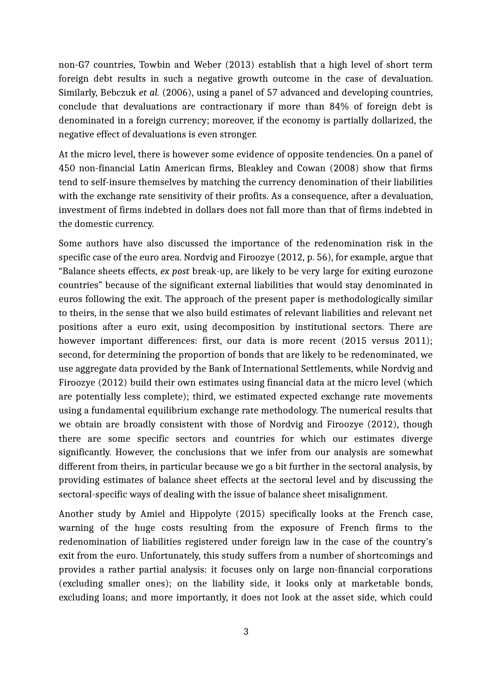non-G7 countries, Towbin and Weber (2013) establish that a high level of short term foreign debt results in such a negative growth outcome in the case of devaluation. Similarly, Bebczuk *et al.* (2006), using a panel of 57 advanced and developing countries, conclude that devaluations are contractionary if more than 84% of foreign debt is denominated in a foreign currency; moreover, if the economy is partially dollarized, the negative effect of devaluations is even stronger.

At the micro level, there is however some evidence of opposite tendencies. On a panel of 450 non-financial Latin American firms, Bleakley and Cowan (2008) show that firms tend to self-insure themselves by matching the currency denomination of their liabilities with the exchange rate sensitivity of their profits. As a consequence, after a devaluation, investment of firms indebted in dollars does not fall more than that of firms indebted in the domestic currency.

Some authors have also discussed the importance of the redenomination risk in the specific case of the euro area. Nordvig and Firoozye (2012, p. 56), for example, argue that "Balance sheets effects, *ex post* break-up, are likely to be very large for exiting eurozone countries" because of the significant external liabilities that would stay denominated in euros following the exit. The approach of the present paper is methodologically similar to theirs, in the sense that we also build estimates of relevant liabilities and relevant net positions after a euro exit, using decomposition by institutional sectors. There are however important differences: first, our data is more recent (2015 versus 2011); second, for determining the proportion of bonds that are likely to be redenominated, we use aggregate data provided by the Bank of International Settlements, while Nordvig and Firoozye (2012) build their own estimates using financial data at the micro level (which are potentially less complete); third, we estimated expected exchange rate movements using a fundamental equilibrium exchange rate methodology. The numerical results that we obtain are broadly consistent with those of Nordvig and Firoozye (2012), though there are some specific sectors and countries for which our estimates diverge significantly. However, the conclusions that we infer from our analysis are somewhat different from theirs, in particular because we go a bit further in the sectoral analysis, by providing estimates of balance sheet effects at the sectoral level and by discussing the sectoral-specific ways of dealing with the issue of balance sheet misalignment.

Another study by Amiel and Hippolyte (2015) specifically looks at the French case, warning of the huge costs resulting from the exposure of French firms to the redenomination of liabilities registered under foreign law in the case of the country's exit from the euro. Unfortunately, this study suffers from a number of shortcomings and provides a rather partial analysis: it focuses only on large non-financial corporations (excluding smaller ones); on the liability side, it looks only at marketable bonds, excluding loans; and more importantly, it does not look at the asset side, which could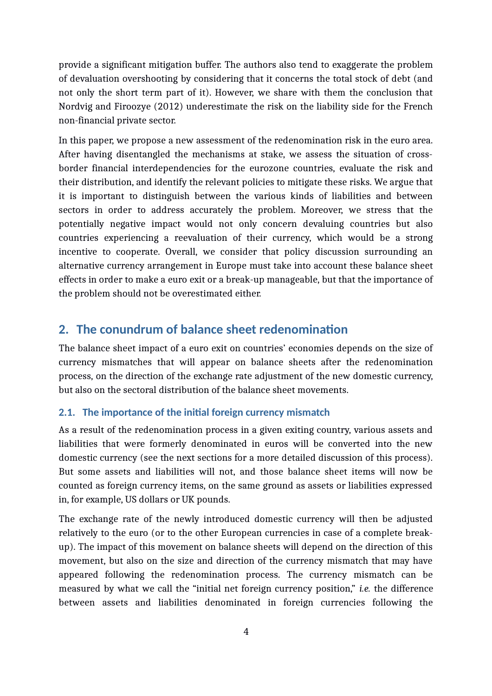provide a significant mitigation buffer. The authors also tend to exaggerate the problem of devaluation overshooting by considering that it concerns the total stock of debt (and not only the short term part of it). However, we share with them the conclusion that Nordvig and Firoozye (2012) underestimate the risk on the liability side for the French non-financial private sector.

In this paper, we propose a new assessment of the redenomination risk in the euro area. After having disentangled the mechanisms at stake, we assess the situation of crossborder financial interdependencies for the eurozone countries, evaluate the risk and their distribution, and identify the relevant policies to mitigate these risks. We argue that it is important to distinguish between the various kinds of liabilities and between sectors in order to address accurately the problem. Moreover, we stress that the potentially negative impact would not only concern devaluing countries but also countries experiencing a reevaluation of their currency, which would be a strong incentive to cooperate. Overall, we consider that policy discussion surrounding an alternative currency arrangement in Europe must take into account these balance sheet effects in order to make a euro exit or a break-up manageable, but that the importance of the problem should not be overestimated either.

### **2. The conundrum of balance sheet redenomination**

The balance sheet impact of a euro exit on countries' economies depends on the size of currency mismatches that will appear on balance sheets after the redenomination process, on the direction of the exchange rate adjustment of the new domestic currency, but also on the sectoral distribution of the balance sheet movements.

#### <span id="page-5-0"></span>**2.1. The importance of the initial foreign currency mismatch**

As a result of the redenomination process in a given exiting country, various assets and liabilities that were formerly denominated in euros will be converted into the new domestic currency (see the next sections for a more detailed discussion of this process). But some assets and liabilities will not, and those balance sheet items will now be counted as foreign currency items, on the same ground as assets or liabilities expressed in, for example, US dollars or UK pounds.

The exchange rate of the newly introduced domestic currency will then be adjusted relatively to the euro (or to the other European currencies in case of a complete breakup). The impact of this movement on balance sheets will depend on the direction of this movement, but also on the size and direction of the currency mismatch that may have appeared following the redenomination process. The currency mismatch can be measured by what we call the "initial net foreign currency position," *i.e.* the difference between assets and liabilities denominated in foreign currencies following the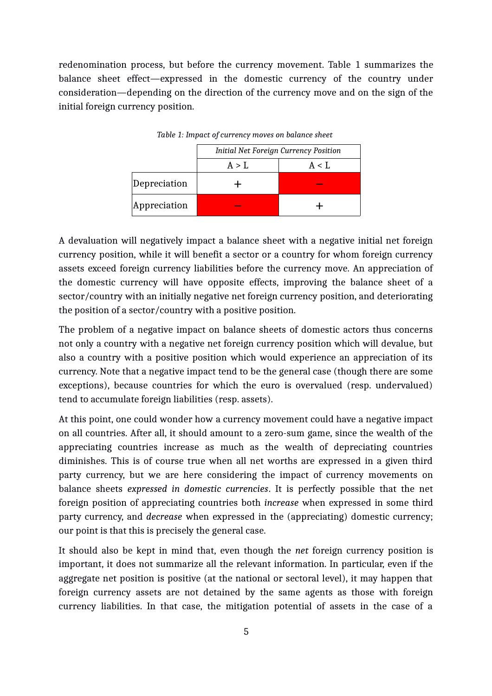redenomination process, but before the currency movement. Table [1](#page-6-0) summarizes the balance sheet effect—expressed in the domestic currency of the country under consideration—depending on the direction of the currency move and on the sign of the initial foreign currency position.

|              | <b>Initial Net Foreign Currency Position</b> |           |  |
|--------------|----------------------------------------------|-----------|--|
|              | A > L                                        | $A < I$ . |  |
| Depreciation |                                              |           |  |
| Appreciation |                                              |           |  |

<span id="page-6-0"></span>*Table 1: Impact of currency moves on balance sheet* 

A devaluation will negatively impact a balance sheet with a negative initial net foreign currency position, while it will benefit a sector or a country for whom foreign currency assets exceed foreign currency liabilities before the currency move. An appreciation of the domestic currency will have opposite effects, improving the balance sheet of a sector/country with an initially negative net foreign currency position, and deteriorating the position of a sector/country with a positive position.

The problem of a negative impact on balance sheets of domestic actors thus concerns not only a country with a negative net foreign currency position which will devalue, but also a country with a positive position which would experience an appreciation of its currency. Note that a negative impact tend to be the general case (though there are some exceptions), because countries for which the euro is overvalued (resp. undervalued) tend to accumulate foreign liabilities (resp. assets).

At this point, one could wonder how a currency movement could have a negative impact on all countries. After all, it should amount to a zero-sum game, since the wealth of the appreciating countries increase as much as the wealth of depreciating countries diminishes. This is of course true when all net worths are expressed in a given third party currency, but we are here considering the impact of currency movements on balance sheets *expressed in domestic currencies*. It is perfectly possible that the net foreign position of appreciating countries both *increase* when expressed in some third party currency, and *decrease* when expressed in the (appreciating) domestic currency; our point is that this is precisely the general case.

It should also be kept in mind that, even though the *net* foreign currency position is important, it does not summarize all the relevant information. In particular, even if the aggregate net position is positive (at the national or sectoral level), it may happen that foreign currency assets are not detained by the same agents as those with foreign currency liabilities. In that case, the mitigation potential of assets in the case of a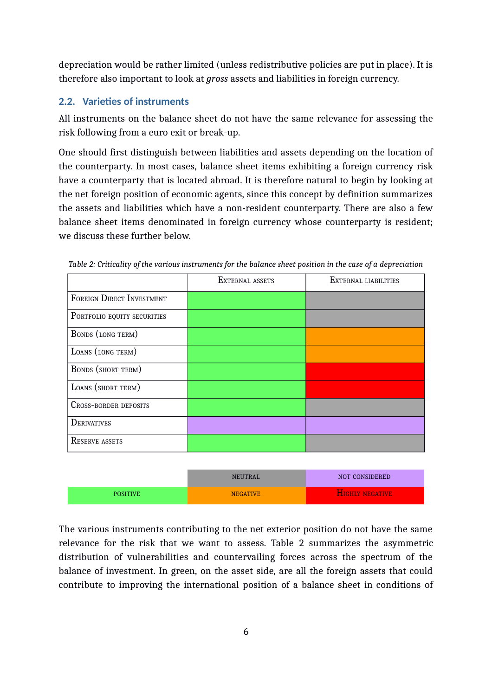depreciation would be rather limited (unless redistributive policies are put in place). It is therefore also important to look at *gross* assets and liabilities in foreign currency.

#### <span id="page-7-1"></span>**2.2. Varieties of instruments**

All instruments on the balance sheet do not have the same relevance for assessing the risk following from a euro exit or break-up.

One should first distinguish between liabilities and assets depending on the location of the counterparty. In most cases, balance sheet items exhibiting a foreign currency risk have a counterparty that is located abroad. It is therefore natural to begin by looking at the net foreign position of economic agents, since this concept by definition summarizes the assets and liabilities which have a non-resident counterparty. There are also a few balance sheet items denominated in foreign currency whose counterparty is resident; we discuss these further below.

|                              | EXTERNAL ASSETS | EXTERNAL LIABILITIES |
|------------------------------|-----------------|----------------------|
| FOREIGN DIRECT INVESTMENT    |                 |                      |
| PORTFOLIO EQUITY SECURITIES  |                 |                      |
| BONDS (LONG TERM)            |                 |                      |
| LOANS (LONG TERM)            |                 |                      |
| <b>BONDS</b> (SHORT TERM)    |                 |                      |
| LOANS (SHORT TERM)           |                 |                      |
| <b>CROSS-BORDER DEPOSITS</b> |                 |                      |
| <b>DERIVATIVES</b>           |                 |                      |
| <b>RESERVE ASSETS</b>        |                 |                      |

<span id="page-7-0"></span>*Table 2: Criticality of the various instruments for the balance sheet position in the case of a depreciation*

|                 | <b>NEUTRAL</b>  | NOT CONSIDERED         |
|-----------------|-----------------|------------------------|
| <b>POSITIVE</b> | <b>NEGATIVE</b> | <b>HIGHLY NEGATIVE</b> |

The various instruments contributing to the net exterior position do not have the same relevance for the risk that we want to assess. Table [2](#page-7-0) summarizes the asymmetric distribution of vulnerabilities and countervailing forces across the spectrum of the balance of investment. In green, on the asset side, are all the foreign assets that could contribute to improving the international position of a balance sheet in conditions of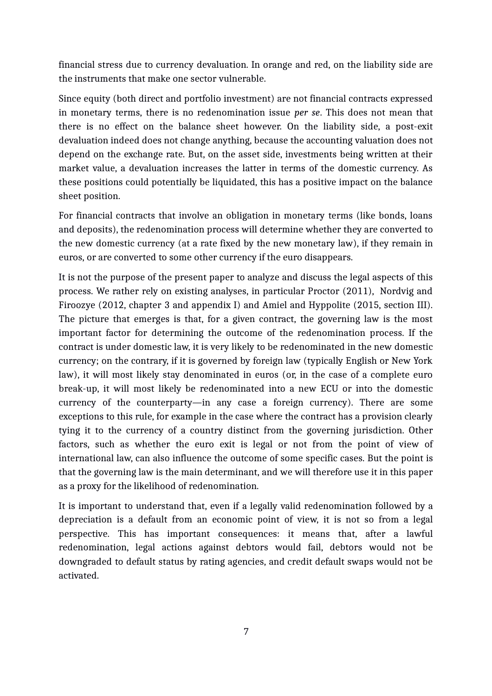financial stress due to currency devaluation. In orange and red, on the liability side are the instruments that make one sector vulnerable.

Since equity (both direct and portfolio investment) are not financial contracts expressed in monetary terms, there is no redenomination issue *per se*. This does not mean that there is no effect on the balance sheet however. On the liability side, a post-exit devaluation indeed does not change anything, because the accounting valuation does not depend on the exchange rate. But, on the asset side, investments being written at their market value, a devaluation increases the latter in terms of the domestic currency. As these positions could potentially be liquidated, this has a positive impact on the balance sheet position.

For financial contracts that involve an obligation in monetary terms (like bonds, loans and deposits), the redenomination process will determine whether they are converted to the new domestic currency (at a rate fixed by the new monetary law), if they remain in euros, or are converted to some other currency if the euro disappears.

It is not the purpose of the present paper to analyze and discuss the legal aspects of this process. We rather rely on existing analyses, in particular Proctor (2011), Nordvig and Firoozye (2012, chapter 3 and appendix I) and Amiel and Hyppolite (2015, section III). The picture that emerges is that, for a given contract, the governing law is the most important factor for determining the outcome of the redenomination process. If the contract is under domestic law, it is very likely to be redenominated in the new domestic currency; on the contrary, if it is governed by foreign law (typically English or New York law), it will most likely stay denominated in euros (or, in the case of a complete euro break-up, it will most likely be redenominated into a new ECU or into the domestic currency of the counterparty—in any case a foreign currency). There are some exceptions to this rule, for example in the case where the contract has a provision clearly tying it to the currency of a country distinct from the governing jurisdiction. Other factors, such as whether the euro exit is legal or not from the point of view of international law, can also influence the outcome of some specific cases. But the point is that the governing law is the main determinant, and we will therefore use it in this paper as a proxy for the likelihood of redenomination.

It is important to understand that, even if a legally valid redenomination followed by a depreciation is a default from an economic point of view, it is not so from a legal perspective. This has important consequences: it means that, after a lawful redenomination, legal actions against debtors would fail, debtors would not be downgraded to default status by rating agencies, and credit default swaps would not be activated.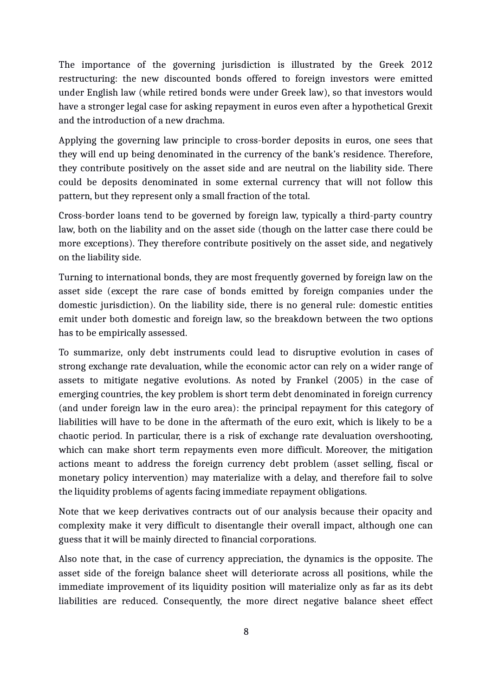The importance of the governing jurisdiction is illustrated by the Greek 2012 restructuring: the new discounted bonds offered to foreign investors were emitted under English law (while retired bonds were under Greek law), so that investors would have a stronger legal case for asking repayment in euros even after a hypothetical Grexit and the introduction of a new drachma.

Applying the governing law principle to cross-border deposits in euros, one sees that they will end up being denominated in the currency of the bank's residence. Therefore, they contribute positively on the asset side and are neutral on the liability side. There could be deposits denominated in some external currency that will not follow this pattern, but they represent only a small fraction of the total.

Cross-border loans tend to be governed by foreign law, typically a third-party country law, both on the liability and on the asset side (though on the latter case there could be more exceptions). They therefore contribute positively on the asset side, and negatively on the liability side.

Turning to international bonds, they are most frequently governed by foreign law on the asset side (except the rare case of bonds emitted by foreign companies under the domestic jurisdiction). On the liability side, there is no general rule: domestic entities emit under both domestic and foreign law, so the breakdown between the two options has to be empirically assessed.

To summarize, only debt instruments could lead to disruptive evolution in cases of strong exchange rate devaluation, while the economic actor can rely on a wider range of assets to mitigate negative evolutions. As noted by Frankel (2005) in the case of emerging countries, the key problem is short term debt denominated in foreign currency (and under foreign law in the euro area): the principal repayment for this category of liabilities will have to be done in the aftermath of the euro exit, which is likely to be a chaotic period. In particular, there is a risk of exchange rate devaluation overshooting, which can make short term repayments even more difficult. Moreover, the mitigation actions meant to address the foreign currency debt problem (asset selling, fiscal or monetary policy intervention) may materialize with a delay, and therefore fail to solve the liquidity problems of agents facing immediate repayment obligations.

Note that we keep derivatives contracts out of our analysis because their opacity and complexity make it very difficult to disentangle their overall impact, although one can guess that it will be mainly directed to financial corporations.

Also note that, in the case of currency appreciation, the dynamics is the opposite. The asset side of the foreign balance sheet will deteriorate across all positions, while the immediate improvement of its liquidity position will materialize only as far as its debt liabilities are reduced. Consequently, the more direct negative balance sheet effect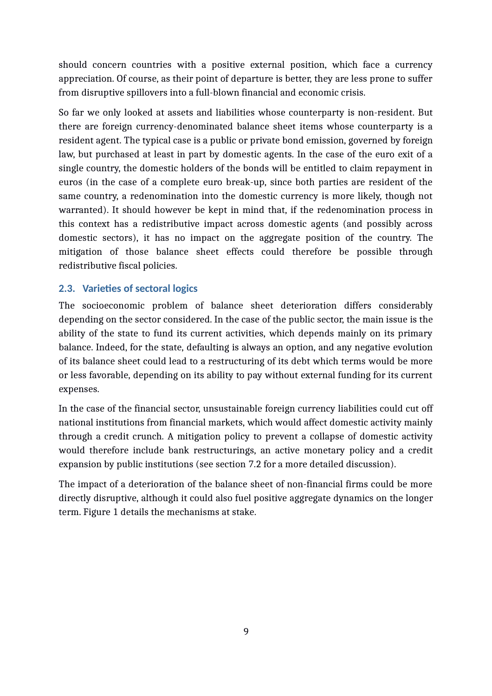should concern countries with a positive external position, which face a currency appreciation. Of course, as their point of departure is better, they are less prone to suffer from disruptive spillovers into a full-blown financial and economic crisis.

So far we only looked at assets and liabilities whose counterparty is non-resident. But there are foreign currency-denominated balance sheet items whose counterparty is a resident agent. The typical case is a public or private bond emission, governed by foreign law, but purchased at least in part by domestic agents. In the case of the euro exit of a single country, the domestic holders of the bonds will be entitled to claim repayment in euros (in the case of a complete euro break-up, since both parties are resident of the same country, a redenomination into the domestic currency is more likely, though not warranted). It should however be kept in mind that, if the redenomination process in this context has a redistributive impact across domestic agents (and possibly across domestic sectors), it has no impact on the aggregate position of the country. The mitigation of those balance sheet effects could therefore be possible through redistributive fiscal policies.

#### **2.3. Varieties of sectoral logics**

The socioeconomic problem of balance sheet deterioration differs considerably depending on the sector considered. In the case of the public sector, the main issue is the ability of the state to fund its current activities, which depends mainly on its primary balance. Indeed, for the state, defaulting is always an option, and any negative evolution of its balance sheet could lead to a restructuring of its debt which terms would be more or less favorable, depending on its ability to pay without external funding for its current expenses.

In the case of the financial sector, unsustainable foreign currency liabilities could cut off national institutions from financial markets, which would affect domestic activity mainly through a credit crunch. A mitigation policy to prevent a collapse of domestic activity would therefore include bank restructurings, an active monetary policy and a credit expansion by public institutions (see section [7.2](#page-28-0) for a more detailed discussion).

The impact of a deterioration of the balance sheet of non-financial firms could be more directly disruptive, although it could also fuel positive aggregate dynamics on the longer term. Figure [1](#page-11-0) details the mechanisms at stake.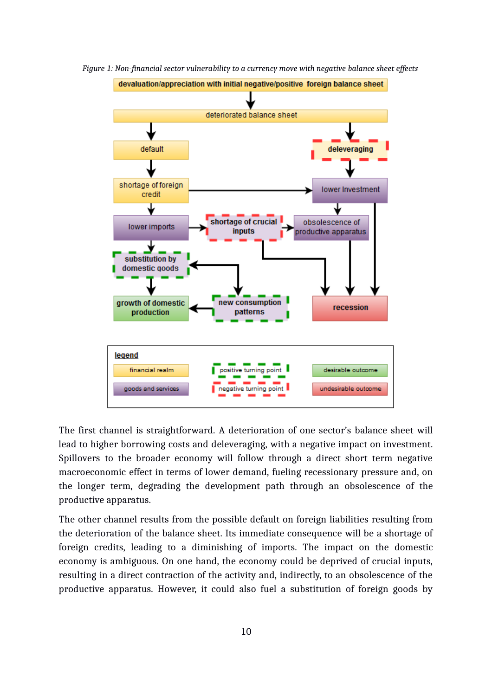<span id="page-11-0"></span>

*Figure 1: Non-financial sector vulnerability to a currency move with negative balance sheet effects*

The first channel is straightforward. A deterioration of one sector's balance sheet will lead to higher borrowing costs and deleveraging, with a negative impact on investment. Spillovers to the broader economy will follow through a direct short term negative macroeconomic effect in terms of lower demand, fueling recessionary pressure and, on the longer term, degrading the development path through an obsolescence of the productive apparatus.

The other channel results from the possible default on foreign liabilities resulting from the deterioration of the balance sheet. Its immediate consequence will be a shortage of foreign credits, leading to a diminishing of imports. The impact on the domestic economy is ambiguous. On one hand, the economy could be deprived of crucial inputs, resulting in a direct contraction of the activity and, indirectly, to an obsolescence of the productive apparatus. However, it could also fuel a substitution of foreign goods by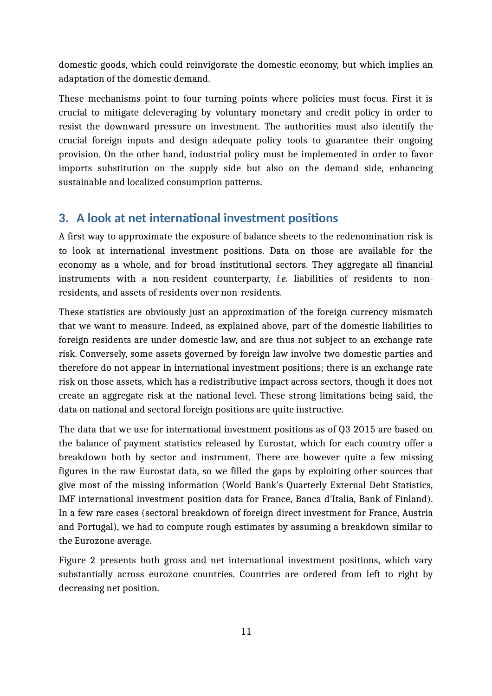domestic goods, which could reinvigorate the domestic economy, but which implies an adaptation of the domestic demand.

These mechanisms point to four turning points where policies must focus. First it is crucial to mitigate deleveraging by voluntary monetary and credit policy in order to resist the downward pressure on investment. The authorities must also identify the crucial foreign inputs and design adequate policy tools to guarantee their ongoing provision. On the other hand, industrial policy must be implemented in order to favor imports substitution on the supply side but also on the demand side, enhancing sustainable and localized consumption patterns.

## <span id="page-12-0"></span>**3. A look at net international investment positions**

A first way to approximate the exposure of balance sheets to the redenomination risk is to look at international investment positions. Data on those are available for the economy as a whole, and for broad institutional sectors. They aggregate all financial instruments with a non-resident counterparty, *i.e.* liabilities of residents to nonresidents, and assets of residents over non-residents.

These statistics are obviously just an approximation of the foreign currency mismatch that we want to measure. Indeed, as explained above, part of the domestic liabilities to foreign residents are under domestic law, and are thus not subject to an exchange rate risk. Conversely, some assets governed by foreign law involve two domestic parties and therefore do not appear in international investment positions; there is an exchange rate risk on those assets, which has a redistributive impact across sectors, though it does not create an aggregate risk at the national level. These strong limitations being said, the data on national and sectoral foreign positions are quite instructive.

The data that we use for international investment positions as of Q3 2015 are based on the balance of payment statistics released by Eurostat, which for each country offer a breakdown both by sector and instrument. There are however quite a few missing figures in the raw Eurostat data, so we filled the gaps by exploiting other sources that give most of the missing information (World Bank's Quarterly External Debt Statistics, IMF international investment position data for France, Banca d'Italia, Bank of Finland). In a few rare cases (sectoral breakdown of foreign direct investment for France, Austria and Portugal), we had to compute rough estimates by assuming a breakdown similar to the Eurozone average.

Figure [2](#page-13-0) presents both gross and net international investment positions, which vary substantially across eurozone countries. Countries are ordered from left to right by decreasing net position.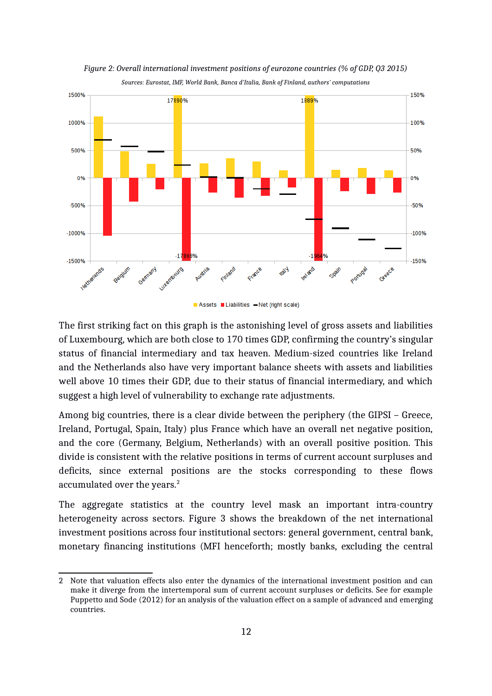

<span id="page-13-0"></span>*Figure 2: Overall international investment positions of eurozone countries (% of GDP, Q3 2015) Sources: Eurostat, IMF, World Bank, Banca d'Italia, Bank of Finland, authors' computations*

Assets Liabilities - Net (right scale)

The first striking fact on this graph is the astonishing level of gross assets and liabilities of Luxembourg, which are both close to 170 times GDP, confirming the country's singular status of financial intermediary and tax heaven. Medium-sized countries like Ireland and the Netherlands also have very important balance sheets with assets and liabilities well above 10 times their GDP, due to their status of financial intermediary, and which suggest a high level of vulnerability to exchange rate adjustments.

Among big countries, there is a clear divide between the periphery (the GIPSI – Greece, Ireland, Portugal, Spain, Italy) plus France which have an overall net negative position, and the core (Germany, Belgium, Netherlands) with an overall positive position. This divide is consistent with the relative positions in terms of current account surpluses and deficits, since external positions are the stocks corresponding to these flows accumulated over the years.<sup>[2](#page-13-1)</sup>

The aggregate statistics at the country level mask an important intra-country heterogeneity across sectors. Figure [3](#page-14-0) shows the breakdown of the net international investment positions across four institutional sectors: general government, central bank, monetary financing institutions (MFI henceforth; mostly banks, excluding the central

<span id="page-13-1"></span><sup>2</sup> Note that valuation effects also enter the dynamics of the international investment position and can make it diverge from the intertemporal sum of current account surpluses or deficits. See for example Puppetto and Sode (2012) for an analysis of the valuation effect on a sample of advanced and emerging countries.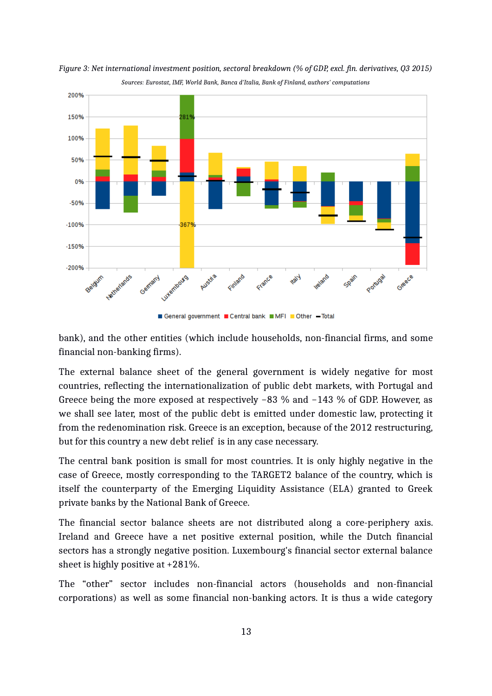

<span id="page-14-0"></span>

bank), and the other entities (which include households, non-financial firms, and some financial non-banking firms).

The external balance sheet of the general government is widely negative for most countries, reflecting the internationalization of public debt markets, with Portugal and Greece being the more exposed at respectively −83 % and −143 % of GDP. However, as we shall see later, most of the public debt is emitted under domestic law, protecting it from the redenomination risk. Greece is an exception, because of the 2012 restructuring, but for this country a new debt relief is in any case necessary.

The central bank position is small for most countries. It is only highly negative in the case of Greece, mostly corresponding to the TARGET2 balance of the country, which is itself the counterparty of the Emerging Liquidity Assistance (ELA) granted to Greek private banks by the National Bank of Greece.

The financial sector balance sheets are not distributed along a core-periphery axis. Ireland and Greece have a net positive external position, while the Dutch financial sectors has a strongly negative position. Luxembourg's financial sector external balance sheet is highly positive at +281%.

The "other" sector includes non-financial actors (households and non-financial corporations) as well as some financial non-banking actors. It is thus a wide category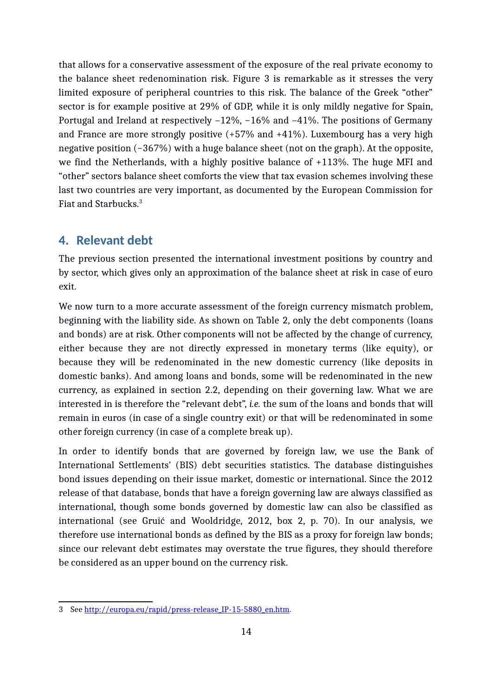that allows for a conservative assessment of the exposure of the real private economy to the balance sheet redenomination risk. Figure [3](#page-14-0) is remarkable as it stresses the very limited exposure of peripheral countries to this risk. The balance of the Greek "other" sector is for example positive at 29% of GDP, while it is only mildly negative for Spain, Portugal and Ireland at respectively –12%, −16% and –41%. The positions of Germany and France are more strongly positive (+57% and +41%). Luxembourg has a very high negative position (−367%) with a huge balance sheet (not on the graph). At the opposite, we find the Netherlands, with a highly positive balance of +113%. The huge MFI and "other" sectors balance sheet comforts the view that tax evasion schemes involving these last two countries are very important, as documented by the European Commission for Fiat and Starbucks.[3](#page-15-0)

#### <span id="page-15-1"></span>**4. Relevant debt**

The previous section presented the international investment positions by country and by sector, which gives only an approximation of the balance sheet at risk in case of euro exit.

We now turn to a more accurate assessment of the foreign currency mismatch problem, beginning with the liability side. As shown on Table [2,](#page-7-0) only the debt components (loans and bonds) are at risk. Other components will not be affected by the change of currency, either because they are not directly expressed in monetary terms (like equity), or because they will be redenominated in the new domestic currency (like deposits in domestic banks). And among loans and bonds, some will be redenominated in the new currency, as explained in section [2.2,](#page-7-1) depending on their governing law. What we are interested in is therefore the "relevant debt", *i.e.* the sum of the loans and bonds that will remain in euros (in case of a single country exit) or that will be redenominated in some other foreign currency (in case of a complete break up).

In order to identify bonds that are governed by foreign law, we use the Bank of International Settlements' (BIS) debt securities statistics. The database distinguishes bond issues depending on their issue market, domestic or international. Since the 2012 release of that database, bonds that have a foreign governing law are always classified as international, though some bonds governed by domestic law can also be classified as international (see Gruić and Wooldridge, 2012, box 2, p. 70). In our analysis, we therefore use international bonds as defined by the BIS as a proxy for foreign law bonds; since our relevant debt estimates may overstate the true figures, they should therefore be considered as an upper bound on the currency risk.

<span id="page-15-0"></span><sup>3</sup> See [http://europa.eu/rapid/press-release\\_IP-15-5880\\_en.htm.](http://europa.eu/rapid/press-release_IP-15-5880_en.htm)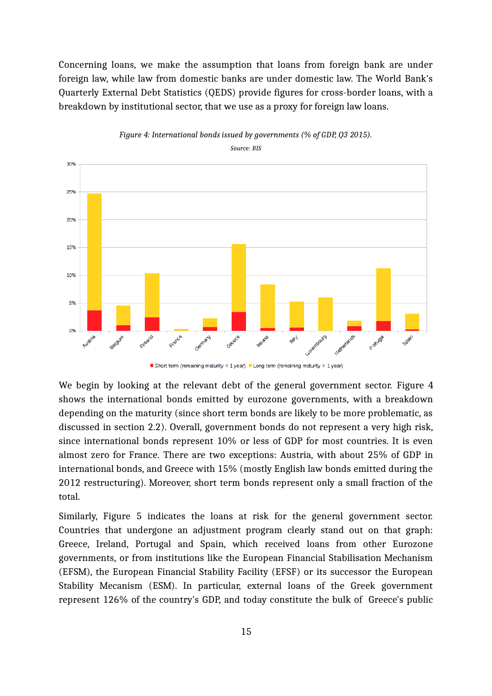Concerning loans, we make the assumption that loans from foreign bank are under foreign law, while law from domestic banks are under domestic law. The World Bank's Quarterly External Debt Statistics (QEDS) provide figures for cross-border loans, with a breakdown by institutional sector, that we use as a proxy for foreign law loans.



<span id="page-16-0"></span>*Figure 4: International bonds issued by governments (% of GDP, Q3 2015).*

Short term (remaining maturity < 1 year) Long term (remaining maturity > 1 year)

We begin by looking at the relevant debt of the general government sector. Figure [4](#page-16-0) shows the international bonds emitted by eurozone governments, with a breakdown depending on the maturity (since short term bonds are likely to be more problematic, as discussed in section [2.2\)](#page-7-1). Overall, government bonds do not represent a very high risk, since international bonds represent 10% or less of GDP for most countries. It is even almost zero for France. There are two exceptions: Austria, with about 25% of GDP in international bonds, and Greece with 15% (mostly English law bonds emitted during the 2012 restructuring). Moreover, short term bonds represent only a small fraction of the total.

Similarly, Figure [5](#page-17-0) indicates the loans at risk for the general government sector. Countries that undergone an adjustment program clearly stand out on that graph: Greece, Ireland, Portugal and Spain, which received loans from other Eurozone governments, or from institutions like the European Financial Stabilisation Mechanism (EFSM), the European Financial Stability Facility (EFSF) or its successor the European Stability Mecanism (ESM). In particular, external loans of the Greek government represent 126% of the country's GDP, and today constitute the bulk of Greece's public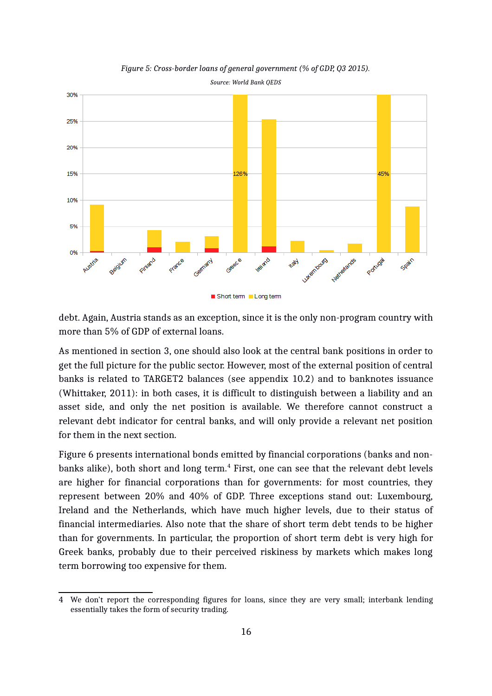

<span id="page-17-0"></span>*Figure 5: Cross-border loans of general government (% of GDP, Q3 2015). Source: World Bank QEDS*

debt. Again, Austria stands as an exception, since it is the only non-program country with more than 5% of GDP of external loans.

As mentioned in section [3,](#page-12-0) one should also look at the central bank positions in order to get the full picture for the public sector. However, most of the external position of central banks is related to TARGET2 balances (see appendix [10.2\)](#page-33-0) and to banknotes issuance (Whittaker, 2011): in both cases, it is difficult to distinguish between a liability and an asset side, and only the net position is available. We therefore cannot construct a relevant debt indicator for central banks, and will only provide a relevant net position for them in the next section.

Figure [6](#page-18-0) presents international bonds emitted by financial corporations (banks and non-banks alike), both short and long term.<sup>[4](#page-17-1)</sup> First, one can see that the relevant debt levels are higher for financial corporations than for governments: for most countries, they represent between 20% and 40% of GDP. Three exceptions stand out: Luxembourg, Ireland and the Netherlands, which have much higher levels, due to their status of financial intermediaries. Also note that the share of short term debt tends to be higher than for governments. In particular, the proportion of short term debt is very high for Greek banks, probably due to their perceived riskiness by markets which makes long term borrowing too expensive for them.

<span id="page-17-1"></span><sup>4</sup> We don't report the corresponding figures for loans, since they are very small; interbank lending essentially takes the form of security trading.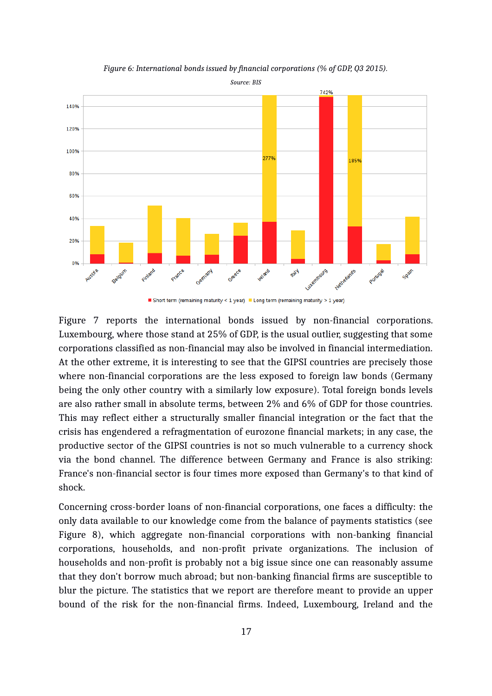

<span id="page-18-0"></span>*Figure 6: International bonds issued by financial corporations (% of GDP, Q3 2015).*

Short term (remaining maturity < 1 year) Long term (remaining maturity > 1 year)

Figure [7](#page-19-0) reports the international bonds issued by non-financial corporations. Luxembourg, where those stand at 25% of GDP, is the usual outlier, suggesting that some corporations classified as non-financial may also be involved in financial intermediation. At the other extreme, it is interesting to see that the GIPSI countries are precisely those where non-financial corporations are the less exposed to foreign law bonds (Germany being the only other country with a similarly low exposure). Total foreign bonds levels are also rather small in absolute terms, between 2% and 6% of GDP for those countries. This may reflect either a structurally smaller financial integration or the fact that the crisis has engendered a refragmentation of eurozone financial markets; in any case, the productive sector of the GIPSI countries is not so much vulnerable to a currency shock via the bond channel. The difference between Germany and France is also striking: France's non-financial sector is four times more exposed than Germany's to that kind of shock.

Concerning cross-border loans of non-financial corporations, one faces a difficulty: the only data available to our knowledge come from the balance of payments statistics (see Figure [8\)](#page-20-0), which aggregate non-financial corporations with non-banking financial corporations, households, and non-profit private organizations. The inclusion of households and non-profit is probably not a big issue since one can reasonably assume that they don't borrow much abroad; but non-banking financial firms are susceptible to blur the picture. The statistics that we report are therefore meant to provide an upper bound of the risk for the non-financial firms. Indeed, Luxembourg, Ireland and the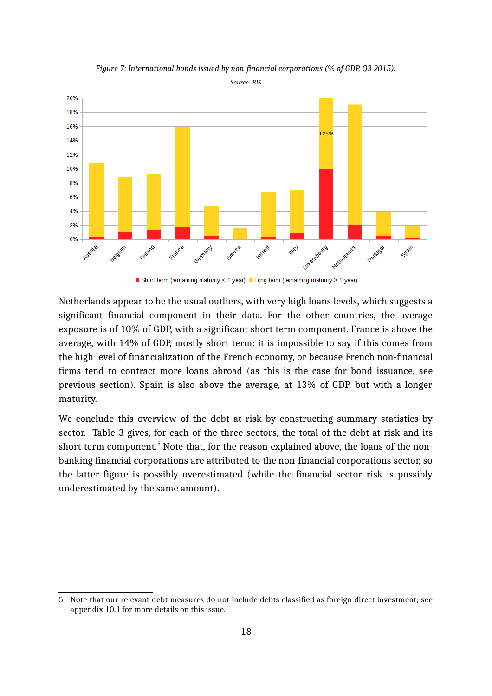

<span id="page-19-0"></span>*Figure 7: International bonds issued by non-financial corporations (% of GDP, Q3 2015).*

*Source: BIS*

Short term (remaining maturity < 1 year) Long term (remaining maturity > 1 year)

Netherlands appear to be the usual outliers, with very high loans levels, which suggests a significant financial component in their data. For the other countries, the average exposure is of 10% of GDP, with a significant short term component. France is above the average, with 14% of GDP, mostly short term: it is impossible to say if this comes from the high level of financialization of the French economy, or because French non-financial firms tend to contract more loans abroad (as this is the case for bond issuance, see previous section). Spain is also above the average, at 13% of GDP, but with a longer maturity.

We conclude this overview of the debt at risk by constructing summary statistics by sector. Table [3](#page-20-1) gives, for each of the three sectors, the total of the debt at risk and its short term component.<sup>[5](#page-19-1)</sup> Note that, for the reason explained above, the loans of the nonbanking financial corporations are attributed to the non-financial corporations sector, so the latter figure is possibly overestimated (while the financial sector risk is possibly underestimated by the same amount).

<span id="page-19-1"></span><sup>5</sup> Note that our relevant debt measures do not include debts classified as foreign direct investment; see appendix [10.1](#page-33-1) for more details on this issue.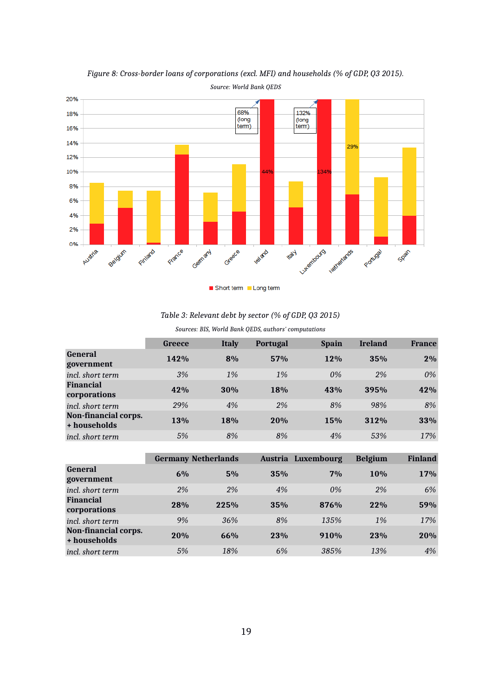

<span id="page-20-0"></span>*Figure 8: Cross-border loans of corporations (excl. MFI) and households (% of GDP, Q3 2015).*

*Table 3: Relevant debt by sector (% of GDP, Q3 2015)*

<span id="page-20-1"></span>*Sources: BIS, World Bank QEDS, authors' computations*

|                                      | <b>Greece</b> | <b>Italy</b> | <b>Portugal</b> | <b>Spain</b> | <b>Ireland</b> | <b>France</b> |
|--------------------------------------|---------------|--------------|-----------------|--------------|----------------|---------------|
| <b>General</b><br>government         | 142%          | 8%           | 57%             | 12%          | 35%            | 2%            |
| incl. short term                     | 3%            | $1\%$        | 1%              | 0%           | 2%             | 0%            |
| <b>Financial</b><br>corporations     | 42%           | 30%          | 18%             | 43%          | 395%           | 42%           |
| incl. short term                     | 29%           | 4%           | 2%              | 8%           | 98%            | 8%            |
| Non-financial corps.<br>+ households | 13%           | 18%          | 20%             | 15%          | 312%           | 33%           |
| incl. short term                     | 5%            | 8%           | 8%              | 4%           | 53%            | 17%           |

|                                      |     | <b>Germany Netherlands</b> |     | Austria Luxembourg | <b>Belgium</b> | <b>Finland</b> |
|--------------------------------------|-----|----------------------------|-----|--------------------|----------------|----------------|
| <b>General</b><br>government         | 6%  | 5%                         | 35% | 7%                 | 10%            | 17%            |
| incl. short term                     | 2%  | 2%                         | 4%  | 0%                 | 2%             | 6%             |
| <b>Financial</b><br>corporations     | 28% | 225%                       | 35% | 876%               | 22%            | 59%            |
| incl. short term                     | 9%  | 36%                        | 8%  | 135%               | 1%             | 17%            |
| Non-financial corps.<br>+ households | 20% | 66%                        | 23% | 910%               | 23%            | 20%            |
| <i>incl. short term</i>              | 5%  | 18%                        | 6%  | 385%               | 13%            | 4%             |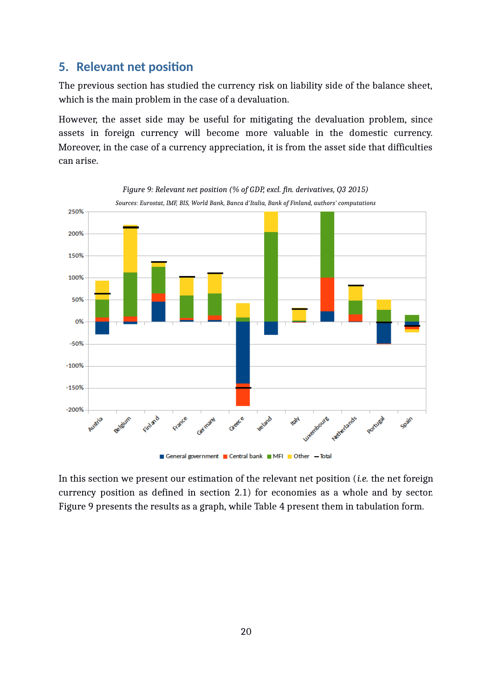### **5. Relevant net position**

The previous section has studied the currency risk on liability side of the balance sheet, which is the main problem in the case of a devaluation.

However, the asset side may be useful for mitigating the devaluation problem, since assets in foreign currency will become more valuable in the domestic currency. Moreover, in the case of a currency appreciation, it is from the asset side that difficulties can arise.

<span id="page-21-0"></span>

In this section we present our estimation of the relevant net position (*i.e.* the net foreign currency position as defined in section [2.1\)](#page-5-0) for economies as a whole and by sector. Figure [9](#page-21-0) presents the results as a graph, while Table [4](#page-22-0) present them in tabulation form.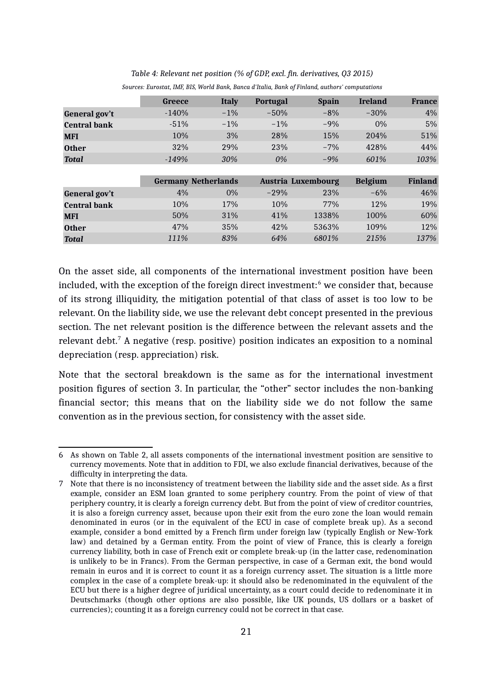|                     | <b>Greece</b> | <b>Italy</b>               | Portugal | <b>Spain</b>       | <b>Ireland</b> | <b>France</b>  |
|---------------------|---------------|----------------------------|----------|--------------------|----------------|----------------|
| General gov't       | $-140%$       | $-1\%$                     | $-50%$   | $-8%$              | $-30%$         | 4%             |
| <b>Central bank</b> | $-51%$        | $-1\%$                     | $-1\%$   | $-9%$              | $0\%$          | 5%             |
| <b>MFI</b>          | 10%           | 3%                         | 28%      | 15%                | 204%           | 51%            |
| <b>Other</b>        | 32%           | 29%                        | 23%      | $-7%$              | 428%           | 44%            |
| <b>Total</b>        | $-149%$       | 30%                        | 0%       | $-9%$              | 601%           | 103%           |
|                     |               |                            |          |                    |                |                |
|                     |               | <b>Germany Netherlands</b> |          | Austria Luxembourg | <b>Belgium</b> | <b>Finland</b> |
| General gov't       | 4%            | $0\%$                      | $-29%$   | 23%                | $-6\%$         | 46%            |
| <b>Central bank</b> | 10%           | 17%                        | 10%      | 77%                | 12%            | 19%            |
| <b>MFI</b>          | 50%           | 31%                        | 41%      | 1338%              | 100%           | 60%            |
| <b>Other</b>        | 47%           | 35%                        | 42%      | 5363%              | 109%           | 12%            |
| <b>Total</b>        | 111%          | 83%                        | 64%      | 6801%              | 215%           | 137%           |

## <span id="page-22-0"></span>*Table 4: Relevant net position (% of GDP, excl. fin. derivatives, Q3 2015)*

*Sources: Eurostat, IMF, BIS, World Bank, Banca d'Italia, Bank of Finland, authors' computations*

On the asset side, all components of the international investment position have been included, with the exception of the foreign direct investment: $^6$  $^6$  we consider that, because of its strong illiquidity, the mitigation potential of that class of asset is too low to be relevant. On the liability side, we use the relevant debt concept presented in the previous section. The net relevant position is the difference between the relevant assets and the relevant debt. $^7$  $^7$  A negative (resp. positive) position indicates an exposition to a nominal depreciation (resp. appreciation) risk.

Note that the sectoral breakdown is the same as for the international investment position figures of section [3.](#page-12-0) In particular, the "other" sector includes the non-banking financial sector; this means that on the liability side we do not follow the same convention as in the previous section, for consistency with the asset side.

<span id="page-22-1"></span><sup>6</sup> As shown on Table [2,](#page-7-0) all assets components of the international investment position are sensitive to currency movements. Note that in addition to FDI, we also exclude financial derivatives, because of the difficulty in interpreting the data.

<span id="page-22-2"></span><sup>7</sup> Note that there is no inconsistency of treatment between the liability side and the asset side. As a first example, consider an ESM loan granted to some periphery country. From the point of view of that periphery country, it is clearly a foreign currency debt. But from the point of view of creditor countries, it is also a foreign currency asset, because upon their exit from the euro zone the loan would remain denominated in euros (or in the equivalent of the ECU in case of complete break up). As a second example, consider a bond emitted by a French firm under foreign law (typically English or New-York law) and detained by a German entity. From the point of view of France, this is clearly a foreign currency liability, both in case of French exit or complete break-up (in the latter case, redenomination is unlikely to be in Francs). From the German perspective, in case of a German exit, the bond would remain in euros and it is correct to count it as a foreign currency asset. The situation is a little more complex in the case of a complete break-up: it should also be redenominated in the equivalent of the ECU but there is a higher degree of juridical uncertainty, as a court could decide to redenominate it in Deutschmarks (though other options are also possible, like UK pounds, US dollars or a basket of currencies); counting it as a foreign currency could not be correct in that case.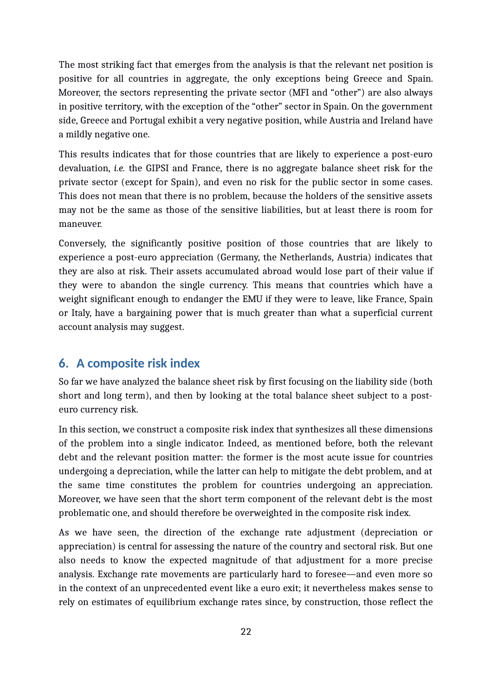The most striking fact that emerges from the analysis is that the relevant net position is positive for all countries in aggregate, the only exceptions being Greece and Spain. Moreover, the sectors representing the private sector (MFI and "other") are also always in positive territory, with the exception of the "other" sector in Spain. On the government side, Greece and Portugal exhibit a very negative position, while Austria and Ireland have a mildly negative one.

This results indicates that for those countries that are likely to experience a post-euro devaluation, *i.e.* the GIPSI and France, there is no aggregate balance sheet risk for the private sector (except for Spain), and even no risk for the public sector in some cases. This does not mean that there is no problem, because the holders of the sensitive assets may not be the same as those of the sensitive liabilities, but at least there is room for maneuver.

Conversely, the significantly positive position of those countries that are likely to experience a post-euro appreciation (Germany, the Netherlands, Austria) indicates that they are also at risk. Their assets accumulated abroad would lose part of their value if they were to abandon the single currency. This means that countries which have a weight significant enough to endanger the EMU if they were to leave, like France, Spain or Italy, have a bargaining power that is much greater than what a superficial current account analysis may suggest.

## **6. A composite risk index**

So far we have analyzed the balance sheet risk by first focusing on the liability side (both short and long term), and then by looking at the total balance sheet subject to a posteuro currency risk.

In this section, we construct a composite risk index that synthesizes all these dimensions of the problem into a single indicator. Indeed, as mentioned before, both the relevant debt and the relevant position matter: the former is the most acute issue for countries undergoing a depreciation, while the latter can help to mitigate the debt problem, and at the same time constitutes the problem for countries undergoing an appreciation. Moreover, we have seen that the short term component of the relevant debt is the most problematic one, and should therefore be overweighted in the composite risk index.

As we have seen, the direction of the exchange rate adjustment (depreciation or appreciation) is central for assessing the nature of the country and sectoral risk. But one also needs to know the expected magnitude of that adjustment for a more precise analysis. Exchange rate movements are particularly hard to foresee—and even more so in the context of an unprecedented event like a euro exit; it nevertheless makes sense to rely on estimates of equilibrium exchange rates since, by construction, those reflect the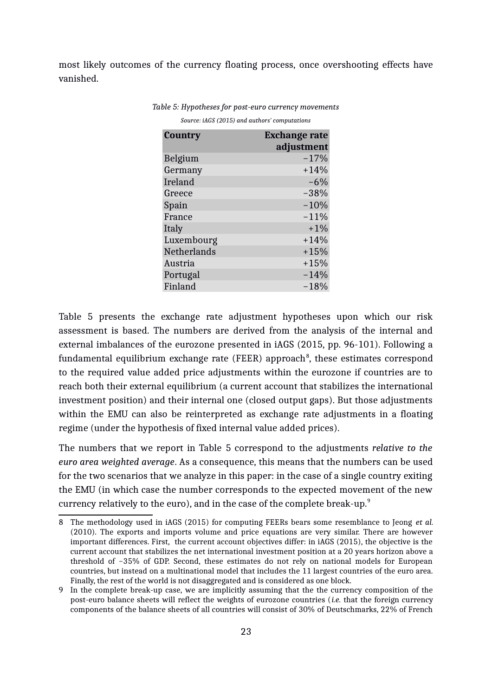most likely outcomes of the currency floating process, once overshooting effects have vanished.

| Country            | <b>Exchange rate</b> |
|--------------------|----------------------|
|                    | adjustment           |
| Belgium            | $-17%$               |
| Germany            | $+14%$               |
| Ireland            | $-6%$                |
| Greece             | $-38%$               |
| Spain              | $-10%$               |
| France             | $-11%$               |
| Italy              | $+1\%$               |
| Luxembourg         | $+14%$               |
| <b>Netherlands</b> | $+15%$               |
| Austria            | $+15%$               |
| Portugal           | $-14%$               |
| Finland            | $-18%$               |

<span id="page-24-0"></span>*Table 5: Hypotheses for post-euro currency movements Source: iAGS (2015) and authors' computations*

Table [5](#page-24-0) presents the exchange rate adjustment hypotheses upon which our risk assessment is based. The numbers are derived from the analysis of the internal and external imbalances of the eurozone presented in iAGS (2015, pp. 96-101). Following a fundamental equilibrium exchange rate (FEER) approach $^8$  $^8$ , these estimates correspond to the required value added price adjustments within the eurozone if countries are to reach both their external equilibrium (a current account that stabilizes the international investment position) and their internal one (closed output gaps). But those adjustments within the EMU can also be reinterpreted as exchange rate adjustments in a floating regime (under the hypothesis of fixed internal value added prices).

The numbers that we report in Table [5](#page-24-0) correspond to the adjustments *relative to the euro area weighted average*. As a consequence, this means that the numbers can be used for the two scenarios that we analyze in this paper: in the case of a single country exiting the EMU (in which case the number corresponds to the expected movement of the new currency relatively to the euro), and in the case of the complete break-up.<sup>[9](#page-24-2)</sup>

<span id="page-24-1"></span><sup>8</sup> The methodology used in iAGS (2015) for computing FEERs bears some resemblance to Jeong *et al.* (2010). The exports and imports volume and price equations are very similar. There are however important differences. First, the current account objectives differ: in iAGS (2015), the objective is the current account that stabilizes the net international investment position at a 20 years horizon above a threshold of −35% of GDP. Second, these estimates do not rely on national models for European countries, but instead on a multinational model that includes the 11 largest countries of the euro area. Finally, the rest of the world is not disaggregated and is considered as one block.

<span id="page-24-2"></span><sup>9</sup> In the complete break-up case, we are implicitly assuming that the the currency composition of the post-euro balance sheets will reflect the weights of eurozone countries (*i.e.* that the foreign currency components of the balance sheets of all countries will consist of 30% of Deutschmarks, 22% of French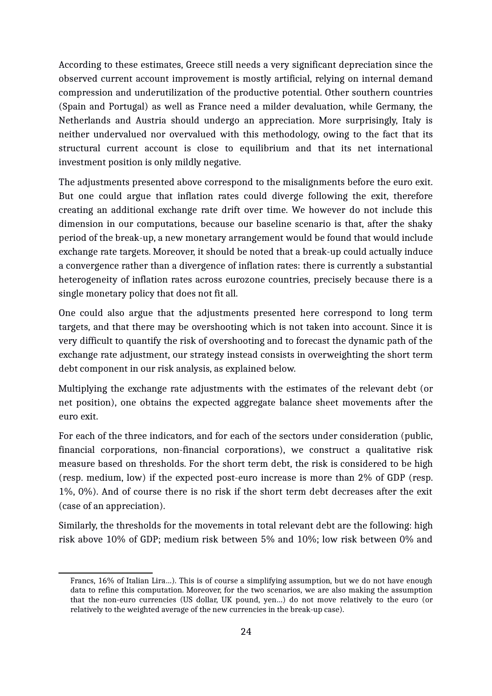According to these estimates, Greece still needs a very significant depreciation since the observed current account improvement is mostly artificial, relying on internal demand compression and underutilization of the productive potential. Other southern countries (Spain and Portugal) as well as France need a milder devaluation, while Germany, the Netherlands and Austria should undergo an appreciation. More surprisingly, Italy is neither undervalued nor overvalued with this methodology, owing to the fact that its structural current account is close to equilibrium and that its net international investment position is only mildly negative.

The adjustments presented above correspond to the misalignments before the euro exit. But one could argue that inflation rates could diverge following the exit, therefore creating an additional exchange rate drift over time. We however do not include this dimension in our computations, because our baseline scenario is that, after the shaky period of the break-up, a new monetary arrangement would be found that would include exchange rate targets. Moreover, it should be noted that a break-up could actually induce a convergence rather than a divergence of inflation rates: there is currently a substantial heterogeneity of inflation rates across eurozone countries, precisely because there is a single monetary policy that does not fit all.

One could also argue that the adjustments presented here correspond to long term targets, and that there may be overshooting which is not taken into account. Since it is very difficult to quantify the risk of overshooting and to forecast the dynamic path of the exchange rate adjustment, our strategy instead consists in overweighting the short term debt component in our risk analysis, as explained below.

Multiplying the exchange rate adjustments with the estimates of the relevant debt (or net position), one obtains the expected aggregate balance sheet movements after the euro exit.

For each of the three indicators, and for each of the sectors under consideration (public, financial corporations, non-financial corporations), we construct a qualitative risk measure based on thresholds. For the short term debt, the risk is considered to be high (resp. medium, low) if the expected post-euro increase is more than 2% of GDP (resp. 1%, 0%). And of course there is no risk if the short term debt decreases after the exit (case of an appreciation).

Similarly, the thresholds for the movements in total relevant debt are the following: high risk above 10% of GDP; medium risk between 5% and 10%; low risk between 0% and

Francs, 16% of Italian Lira…). This is of course a simplifying assumption, but we do not have enough data to refine this computation. Moreover, for the two scenarios, we are also making the assumption that the non-euro currencies (US dollar, UK pound, yen…) do not move relatively to the euro (or relatively to the weighted average of the new currencies in the break-up case).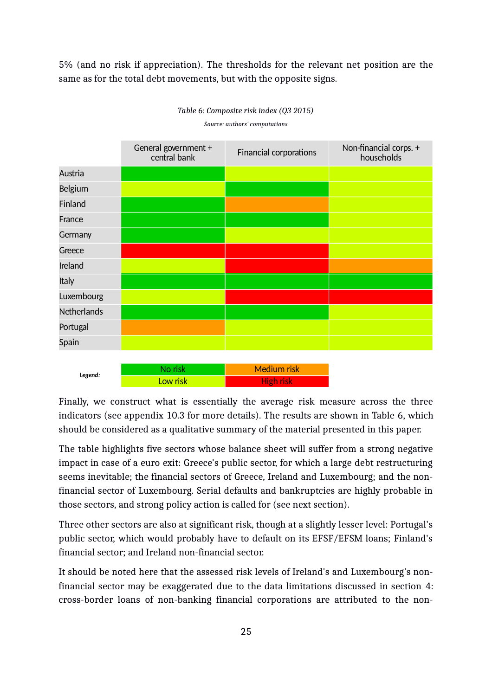5% (and no risk if appreciation). The thresholds for the relevant net position are the same as for the total debt movements, but with the opposite signs.

|                    | General government +<br>central bank | Financial corporations | Non-financial corps. +<br>households |
|--------------------|--------------------------------------|------------------------|--------------------------------------|
| Austria            |                                      |                        |                                      |
| Belgium            |                                      |                        |                                      |
| Finland            |                                      |                        |                                      |
| France             |                                      |                        |                                      |
| Germany            |                                      |                        |                                      |
| Greece             |                                      |                        |                                      |
| Ireland            |                                      |                        |                                      |
| Italy              |                                      |                        |                                      |
| Luxembourg         |                                      |                        |                                      |
| <b>Netherlands</b> |                                      |                        |                                      |
| Portugal           |                                      |                        |                                      |
| Spain              |                                      |                        |                                      |
|                    |                                      |                        |                                      |
| Legend:            | No risk                              | <b>Medium risk</b>     |                                      |



<span id="page-26-0"></span>*Source: authors' computations*

Finally, we construct what is essentially the average risk measure across the three indicators (see appendix [10.3](#page-34-0) for more details). The results are shown in Table [6,](#page-26-0) which should be considered as a qualitative summary of the material presented in this paper.

Low risk High risk High risk

The table highlights five sectors whose balance sheet will suffer from a strong negative impact in case of a euro exit: Greece's public sector, for which a large debt restructuring seems inevitable; the financial sectors of Greece, Ireland and Luxembourg; and the nonfinancial sector of Luxembourg. Serial defaults and bankruptcies are highly probable in those sectors, and strong policy action is called for (see next section).

Three other sectors are also at significant risk, though at a slightly lesser level: Portugal's public sector, which would probably have to default on its EFSF/EFSM loans; Finland's financial sector; and Ireland non-financial sector.

It should be noted here that the assessed risk levels of Ireland's and Luxembourg's nonfinancial sector may be exaggerated due to the data limitations discussed in section [4:](#page-15-1) cross-border loans of non-banking financial corporations are attributed to the non-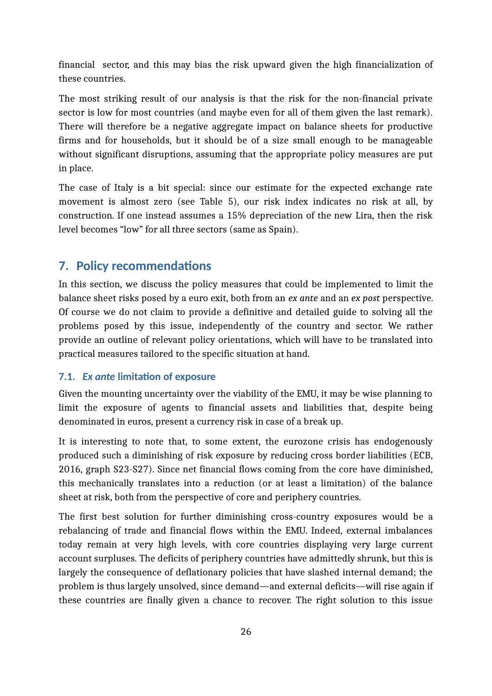financial sector, and this may bias the risk upward given the high financialization of these countries.

The most striking result of our analysis is that the risk for the non-financial private sector is low for most countries (and maybe even for all of them given the last remark). There will therefore be a negative aggregate impact on balance sheets for productive firms and for households, but it should be of a size small enough to be manageable without significant disruptions, assuming that the appropriate policy measures are put in place.

The case of Italy is a bit special: since our estimate for the expected exchange rate movement is almost zero (see Table [5\)](#page-24-0), our risk index indicates no risk at all, by construction. If one instead assumes a 15% depreciation of the new Lira, then the risk level becomes "low" for all three sectors (same as Spain).

## **7. Policy recommendations**

In this section, we discuss the policy measures that could be implemented to limit the balance sheet risks posed by a euro exit, both from an *ex ante* and an *ex post* perspective. Of course we do not claim to provide a definitive and detailed guide to solving all the problems posed by this issue, independently of the country and sector. We rather provide an outline of relevant policy orientations, which will have to be translated into practical measures tailored to the specific situation at hand.

#### **7.1.** *Ex ante* **limitation of exposure**

Given the mounting uncertainty over the viability of the EMU, it may be wise planning to limit the exposure of agents to financial assets and liabilities that, despite being denominated in euros, present a currency risk in case of a break up.

It is interesting to note that, to some extent, the eurozone crisis has endogenously produced such a diminishing of risk exposure by reducing cross border liabilities (ECB, 2016, graph S23-S27). Since net financial flows coming from the core have diminished, this mechanically translates into a reduction (or at least a limitation) of the balance sheet at risk, both from the perspective of core and periphery countries.

The first best solution for further diminishing cross-country exposures would be a rebalancing of trade and financial flows within the EMU. Indeed, external imbalances today remain at very high levels, with core countries displaying very large current account surpluses. The deficits of periphery countries have admittedly shrunk, but this is largely the consequence of deflationary policies that have slashed internal demand; the problem is thus largely unsolved, since demand—and external deficits—will rise again if these countries are finally given a chance to recover. The right solution to this issue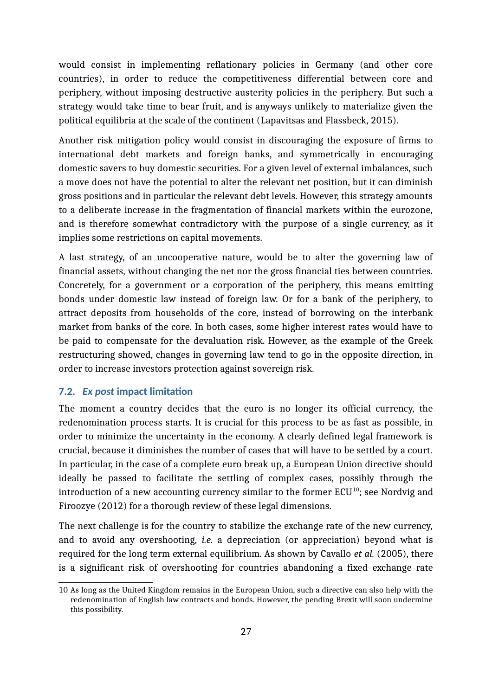would consist in implementing reflationary policies in Germany (and other core countries), in order to reduce the competitiveness differential between core and periphery, without imposing destructive austerity policies in the periphery. But such a strategy would take time to bear fruit, and is anyways unlikely to materialize given the political equilibria at the scale of the continent (Lapavitsas and Flassbeck, 2015).

Another risk mitigation policy would consist in discouraging the exposure of firms to international debt markets and foreign banks, and symmetrically in encouraging domestic savers to buy domestic securities. For a given level of external imbalances, such a move does not have the potential to alter the relevant net position, but it can diminish gross positions and in particular the relevant debt levels. However, this strategy amounts to a deliberate increase in the fragmentation of financial markets within the eurozone, and is therefore somewhat contradictory with the purpose of a single currency, as it implies some restrictions on capital movements.

A last strategy, of an uncooperative nature, would be to alter the governing law of financial assets, without changing the net nor the gross financial ties between countries. Concretely, for a government or a corporation of the periphery, this means emitting bonds under domestic law instead of foreign law. Or for a bank of the periphery, to attract deposits from households of the core, instead of borrowing on the interbank market from banks of the core. In both cases, some higher interest rates would have to be paid to compensate for the devaluation risk. However, as the example of the Greek restructuring showed, changes in governing law tend to go in the opposite direction, in order to increase investors protection against sovereign risk.

#### <span id="page-28-0"></span>**7.2.** *Ex post* **impact limitation**

The moment a country decides that the euro is no longer its official currency, the redenomination process starts. It is crucial for this process to be as fast as possible, in order to minimize the uncertainty in the economy. A clearly defined legal framework is crucial, because it diminishes the number of cases that will have to be settled by a court. In particular, in the case of a complete euro break up, a European Union directive should ideally be passed to facilitate the settling of complex cases, possibly through the introduction of a new accounting currency similar to the former  $ECU^{10}$  $ECU^{10}$  $ECU^{10}$ ; see Nordvig and Firoozye (2012) for a thorough review of these legal dimensions.

The next challenge is for the country to stabilize the exchange rate of the new currency, and to avoid any overshooting, *i.e.* a depreciation (or appreciation) beyond what is required for the long term external equilibrium. As shown by Cavallo *et al.* (2005), there is a significant risk of overshooting for countries abandoning a fixed exchange rate

<span id="page-28-1"></span><sup>10</sup> As long as the United Kingdom remains in the European Union, such a directive can also help with the redenomination of English law contracts and bonds. However, the pending Brexit will soon undermine this possibility.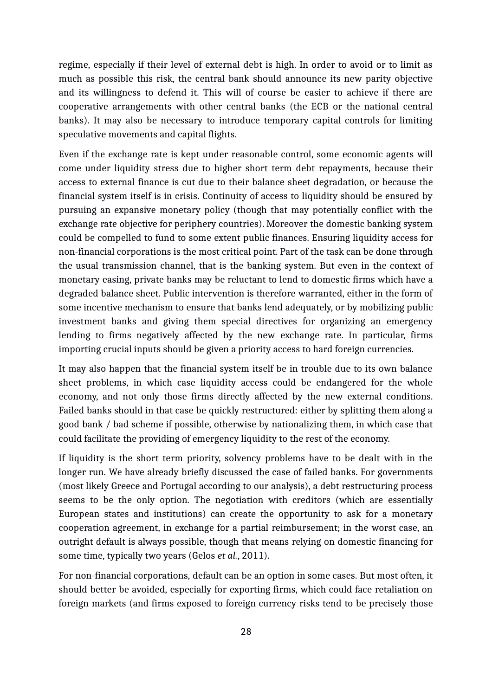regime, especially if their level of external debt is high. In order to avoid or to limit as much as possible this risk, the central bank should announce its new parity objective and its willingness to defend it. This will of course be easier to achieve if there are cooperative arrangements with other central banks (the ECB or the national central banks). It may also be necessary to introduce temporary capital controls for limiting speculative movements and capital flights.

Even if the exchange rate is kept under reasonable control, some economic agents will come under liquidity stress due to higher short term debt repayments, because their access to external finance is cut due to their balance sheet degradation, or because the financial system itself is in crisis. Continuity of access to liquidity should be ensured by pursuing an expansive monetary policy (though that may potentially conflict with the exchange rate objective for periphery countries). Moreover the domestic banking system could be compelled to fund to some extent public finances. Ensuring liquidity access for non-financial corporations is the most critical point. Part of the task can be done through the usual transmission channel, that is the banking system. But even in the context of monetary easing, private banks may be reluctant to lend to domestic firms which have a degraded balance sheet. Public intervention is therefore warranted, either in the form of some incentive mechanism to ensure that banks lend adequately, or by mobilizing public investment banks and giving them special directives for organizing an emergency lending to firms negatively affected by the new exchange rate. In particular, firms importing crucial inputs should be given a priority access to hard foreign currencies.

It may also happen that the financial system itself be in trouble due to its own balance sheet problems, in which case liquidity access could be endangered for the whole economy, and not only those firms directly affected by the new external conditions. Failed banks should in that case be quickly restructured: either by splitting them along a good bank / bad scheme if possible, otherwise by nationalizing them, in which case that could facilitate the providing of emergency liquidity to the rest of the economy.

If liquidity is the short term priority, solvency problems have to be dealt with in the longer run. We have already briefly discussed the case of failed banks. For governments (most likely Greece and Portugal according to our analysis), a debt restructuring process seems to be the only option. The negotiation with creditors (which are essentially European states and institutions) can create the opportunity to ask for a monetary cooperation agreement, in exchange for a partial reimbursement; in the worst case, an outright default is always possible, though that means relying on domestic financing for some time, typically two years (Gelos *et al.*, 2011).

For non-financial corporations, default can be an option in some cases. But most often, it should better be avoided, especially for exporting firms, which could face retaliation on foreign markets (and firms exposed to foreign currency risks tend to be precisely those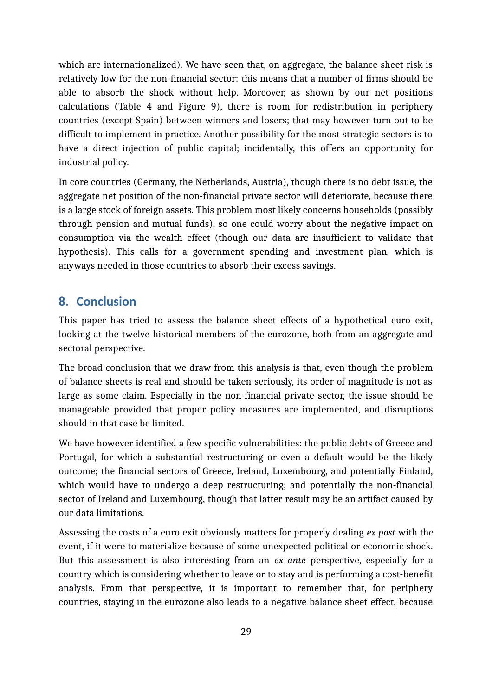which are internationalized). We have seen that, on aggregate, the balance sheet risk is relatively low for the non-financial sector: this means that a number of firms should be able to absorb the shock without help. Moreover, as shown by our net positions calculations (Table [4](#page-22-0) and Figure [9\)](#page-21-0), there is room for redistribution in periphery countries (except Spain) between winners and losers; that may however turn out to be difficult to implement in practice. Another possibility for the most strategic sectors is to have a direct injection of public capital; incidentally, this offers an opportunity for industrial policy.

In core countries (Germany, the Netherlands, Austria), though there is no debt issue, the aggregate net position of the non-financial private sector will deteriorate, because there is a large stock of foreign assets. This problem most likely concerns households (possibly through pension and mutual funds), so one could worry about the negative impact on consumption via the wealth effect (though our data are insufficient to validate that hypothesis). This calls for a government spending and investment plan, which is anyways needed in those countries to absorb their excess savings.

#### **8. Conclusion**

This paper has tried to assess the balance sheet effects of a hypothetical euro exit, looking at the twelve historical members of the eurozone, both from an aggregate and sectoral perspective.

The broad conclusion that we draw from this analysis is that, even though the problem of balance sheets is real and should be taken seriously, its order of magnitude is not as large as some claim. Especially in the non-financial private sector, the issue should be manageable provided that proper policy measures are implemented, and disruptions should in that case be limited.

We have however identified a few specific vulnerabilities: the public debts of Greece and Portugal, for which a substantial restructuring or even a default would be the likely outcome; the financial sectors of Greece, Ireland, Luxembourg, and potentially Finland, which would have to undergo a deep restructuring; and potentially the non-financial sector of Ireland and Luxembourg, though that latter result may be an artifact caused by our data limitations.

Assessing the costs of a euro exit obviously matters for properly dealing *ex post* with the event, if it were to materialize because of some unexpected political or economic shock. But this assessment is also interesting from an *ex ante* perspective, especially for a country which is considering whether to leave or to stay and is performing a cost-benefit analysis. From that perspective, it is important to remember that, for periphery countries, staying in the eurozone also leads to a negative balance sheet effect, because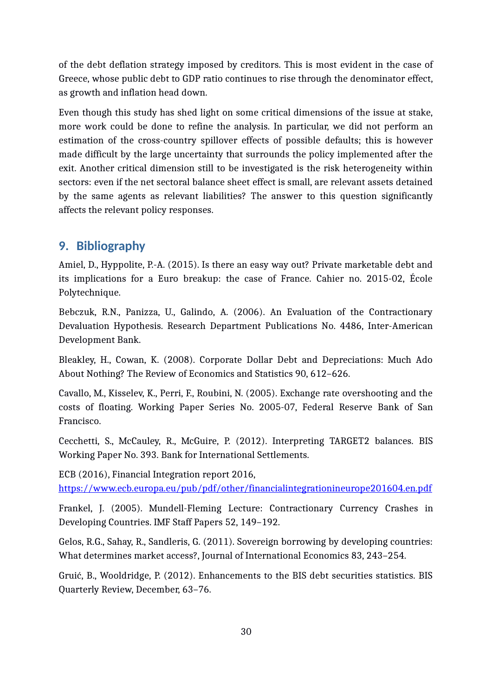of the debt deflation strategy imposed by creditors. This is most evident in the case of Greece, whose public debt to GDP ratio continues to rise through the denominator effect, as growth and inflation head down.

Even though this study has shed light on some critical dimensions of the issue at stake, more work could be done to refine the analysis. In particular, we did not perform an estimation of the cross-country spillover effects of possible defaults; this is however made difficult by the large uncertainty that surrounds the policy implemented after the exit. Another critical dimension still to be investigated is the risk heterogeneity within sectors: even if the net sectoral balance sheet effect is small, are relevant assets detained by the same agents as relevant liabilities? The answer to this question significantly affects the relevant policy responses.

## **9. Bibliography**

Amiel, D., Hyppolite, P.-A. (2015). Is there an easy way out? Private marketable debt and its implications for a Euro breakup: the case of France. Cahier no. 2015-02, École Polytechnique.

Bebczuk, R.N., Panizza, U., Galindo, A. (2006). An Evaluation of the Contractionary Devaluation Hypothesis. Research Department Publications No. 4486, Inter-American Development Bank.

Bleakley, H., Cowan, K. (2008). Corporate Dollar Debt and Depreciations: Much Ado About Nothing? The Review of Economics and Statistics 90, 612–626.

Cavallo, M., Kisselev, K., Perri, F., Roubini, N. (2005). Exchange rate overshooting and the costs of floating. Working Paper Series No. 2005-07, Federal Reserve Bank of San Francisco.

Cecchetti, S., McCauley, R., McGuire, P. (2012). Interpreting TARGET2 balances. BIS Working Paper No. 393. Bank for International Settlements.

ECB (2016), Financial Integration report 2016, <https://www.ecb.europa.eu/pub/pdf/other/financialintegrationineurope201604.en.pdf>

Frankel, J. (2005). Mundell-Fleming Lecture: Contractionary Currency Crashes in Developing Countries. IMF Staff Papers 52, 149–192.

Gelos, R.G., Sahay, R., Sandleris, G. (2011). Sovereign borrowing by developing countries: What determines market access?, Journal of International Economics 83, 243–254.

Gruić, B., Wooldridge, P. (2012). Enhancements to the BIS debt securities statistics. BIS Quarterly Review, December, 63–76.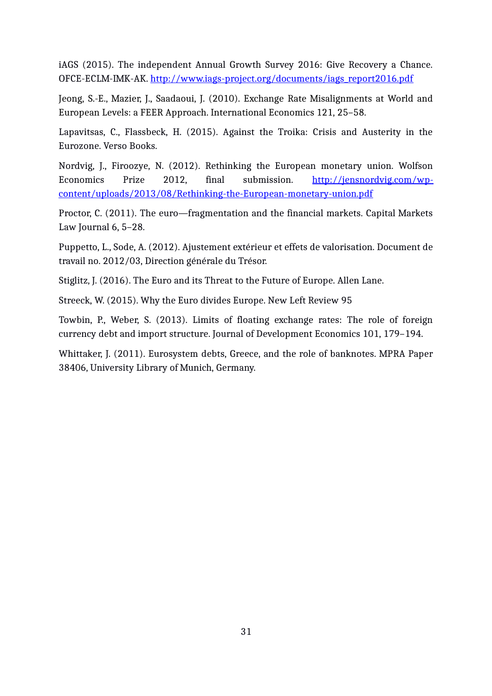iAGS (2015). The independent Annual Growth Survey 2016: Give Recovery a Chance. OFCE-ECLM-IMK-AK. http://www.iags-project.org/documents/iags\_report2016.pdf

Jeong, S.-E., Mazier, J., Saadaoui, J. (2010). Exchange Rate Misalignments at World and European Levels: a FEER Approach. International Economics 121, 25–58.

Lapavitsas, C., Flassbeck, H. (2015). Against the Troika: Crisis and Austerity in the Eurozone. Verso Books.

Nordvig, J., Firoozye, N. (2012). Rethinking the European monetary union. Wolfson Economics Prize 2012, final submission. [http://jensnordvig.com/wp](http://jensnordvig.com/wp-content/uploads/2013/08/Rethinking-the-European-monetary-union.pdf)[content/uploads/2013/08/Rethinking-the-European-monetary-union.pdf](http://jensnordvig.com/wp-content/uploads/2013/08/Rethinking-the-European-monetary-union.pdf)

Proctor, C. (2011). The euro—fragmentation and the financial markets. Capital Markets Law Journal 6, 5–28.

Puppetto, L., Sode, A. (2012). Ajustement extérieur et effets de valorisation. Document de travail no. 2012/03, Direction générale du Trésor.

Stiglitz, J. (2016). The Euro and its Threat to the Future of Europe. Allen Lane.

Streeck, W. (2015). Why the Euro divides Europe. New Left Review 95

Towbin, P., Weber, S. (2013). Limits of floating exchange rates: The role of foreign currency debt and import structure. Journal of Development Economics 101, 179–194.

Whittaker, J. (2011). Eurosystem debts, Greece, and the role of banknotes. MPRA Paper 38406, University Library of Munich, Germany.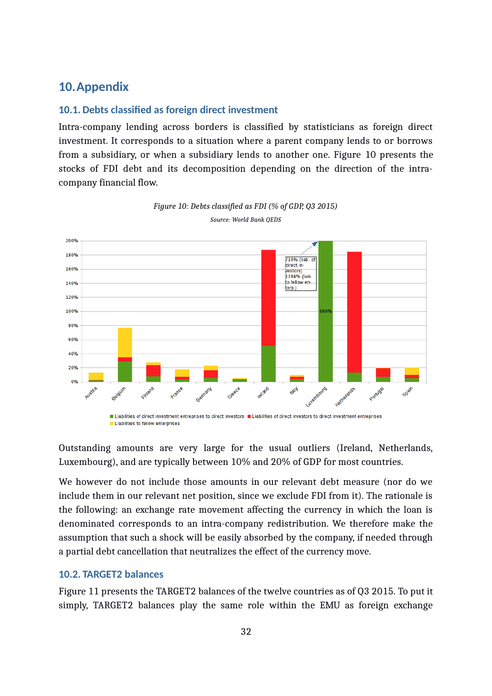## **10.Appendix**

#### <span id="page-33-1"></span>**10.1. Debts classified as foreign direct investment**

Intra-company lending across borders is classified by statisticians as foreign direct investment. It corresponds to a situation where a parent company lends to or borrows from a subsidiary, or when a subsidiary lends to another one. Figure [10](#page-33-2) presents the stocks of FDI debt and its decomposition depending on the direction of the intracompany financial flow.



<span id="page-33-2"></span>

I Liabilities to fellow enterprises

Outstanding amounts are very large for the usual outliers (Ireland, Netherlands, Luxembourg), and are typically between 10% and 20% of GDP for most countries.

We however do not include those amounts in our relevant debt measure (nor do we include them in our relevant net position, since we exclude FDI from it). The rationale is the following: an exchange rate movement affecting the currency in which the loan is denominated corresponds to an intra-company redistribution. We therefore make the assumption that such a shock will be easily absorbed by the company, if needed through a partial debt cancellation that neutralizes the effect of the currency move.

#### <span id="page-33-0"></span>**10.2. TARGET2 balances**

Figure [11](#page-34-1) presents the TARGET2 balances of the twelve countries as of Q3 2015. To put it simply, TARGET2 balances play the same role within the EMU as foreign exchange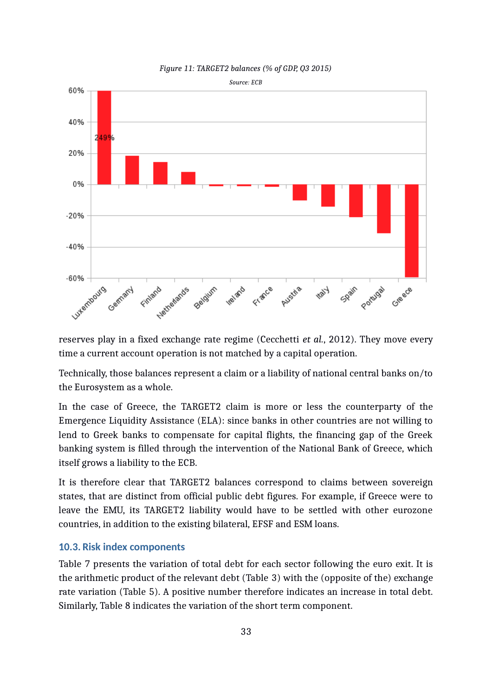<span id="page-34-1"></span>



reserves play in a fixed exchange rate regime (Cecchetti *et al.*, 2012). They move every time a current account operation is not matched by a capital operation.

Technically, those balances represent a claim or a liability of national central banks on/to the Eurosystem as a whole.

In the case of Greece, the TARGET2 claim is more or less the counterparty of the Emergence Liquidity Assistance (ELA): since banks in other countries are not willing to lend to Greek banks to compensate for capital flights, the financing gap of the Greek banking system is filled through the intervention of the National Bank of Greece, which itself grows a liability to the ECB.

It is therefore clear that TARGET2 balances correspond to claims between sovereign states, that are distinct from official public debt figures. For example, if Greece were to leave the EMU, its TARGET2 liability would have to be settled with other eurozone countries, in addition to the existing bilateral, EFSF and ESM loans.

#### <span id="page-34-0"></span>**10.3. Risk index components**

Table [7](#page-35-1) presents the variation of total debt for each sector following the euro exit. It is the arithmetic product of the relevant debt (Table [3\)](#page-20-1) with the (opposite of the) exchange rate variation (Table [5\)](#page-24-0). A positive number therefore indicates an increase in total debt. Similarly, Table [8](#page-35-0) indicates the variation of the short term component.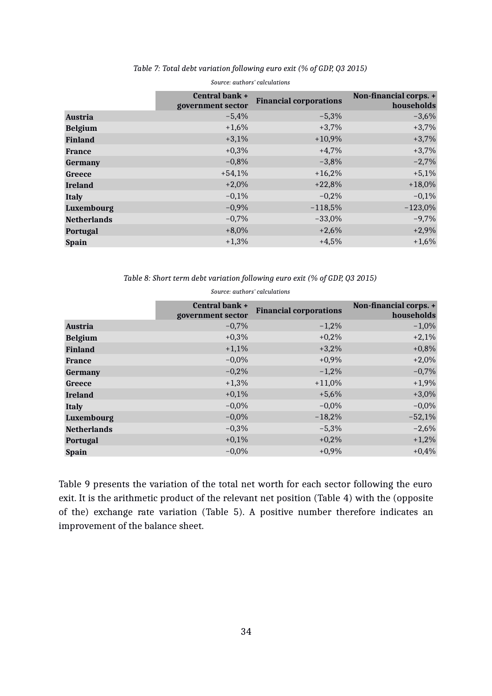|                    | <b>Central bank +</b><br>government sector | <b>Financial corporations</b> | Non-financial corps. +<br>households |
|--------------------|--------------------------------------------|-------------------------------|--------------------------------------|
| <b>Austria</b>     | $-5,4%$                                    | $-5,3%$                       | $-3,6%$                              |
| <b>Belgium</b>     | $+1,6%$                                    | $+3,7%$                       | $+3,7%$                              |
| <b>Finland</b>     | $+3,1%$                                    | $+10,9%$                      | $+3,7%$                              |
| <b>France</b>      | $+0,3%$                                    | $+4,7%$                       | $+3,7%$                              |
| <b>Germany</b>     | $-0,8%$                                    | $-3,8%$                       | $-2,7%$                              |
| Greece             | $+54,1%$                                   | $+16,2%$                      | $+5,1%$                              |
| <b>Ireland</b>     | $+2.0%$                                    | $+22,8%$                      | $+18,0%$                             |
| <b>Italy</b>       | $-0,1%$                                    | $-0.2%$                       | $-0,1%$                              |
| Luxembourg         | $-0,9%$                                    | $-118,5%$                     | $-123,0%$                            |
| <b>Netherlands</b> | $-0,7%$                                    | $-33,0%$                      | $-9,7%$                              |
| <b>Portugal</b>    | $+8,0%$                                    | $+2,6%$                       | $+2,9%$                              |
| <b>Spain</b>       | $+1,3%$                                    | $+4,5%$                       | $+1,6%$                              |
|                    |                                            |                               |                                      |

#### <span id="page-35-1"></span>*Table 7: Total debt variation following euro exit (% of GDP, Q3 2015) Source: authors' calculations*

<span id="page-35-0"></span>*Table 8: Short term debt variation following euro exit (% of GDP, Q3 2015)*

|                    | <b>Central bank +</b><br>government sector | <b>Financial corporations</b> | Non-financial corps. +<br>households |
|--------------------|--------------------------------------------|-------------------------------|--------------------------------------|
| <b>Austria</b>     | $-0,7%$                                    | $-1,2%$                       | $-1,0\%$                             |
| <b>Belgium</b>     | $+0,3%$                                    | $+0,2%$                       | $+2,1%$                              |
| <b>Finland</b>     | $+1,1%$                                    | $+3,2%$                       | $+0,8%$                              |
| <b>France</b>      | $-0,0%$                                    | $+0,9%$                       | $+2,0%$                              |
| <b>Germany</b>     | $-0,2%$                                    | $-1,2%$                       | $-0,7%$                              |
| Greece             | $+1,3%$                                    | $+11,0%$                      | $+1,9%$                              |
| <b>Ireland</b>     | $+0,1%$                                    | $+5,6%$                       | $+3,0%$                              |
| <b>Italy</b>       | $-0,0%$                                    | $-0,0%$                       | $-0,0%$                              |
| Luxembourg         | $-0,0%$                                    | $-18,2%$                      | $-52,1%$                             |
| <b>Netherlands</b> | $-0,3%$                                    | $-5,3%$                       | $-2,6%$                              |
| Portugal           | $+0,1%$                                    | $+0,2%$                       | $+1,2%$                              |
| <b>Spain</b>       | $-0,0%$                                    | $+0,9%$                       | $+0,4%$                              |
|                    |                                            |                               |                                      |

*Source: authors' calculations*

Table [9](#page-36-0) presents the variation of the total net worth for each sector following the euro exit. It is the arithmetic product of the relevant net position (Table [4\)](#page-22-0) with the (opposite of the) exchange rate variation (Table [5\)](#page-24-0). A positive number therefore indicates an improvement of the balance sheet.